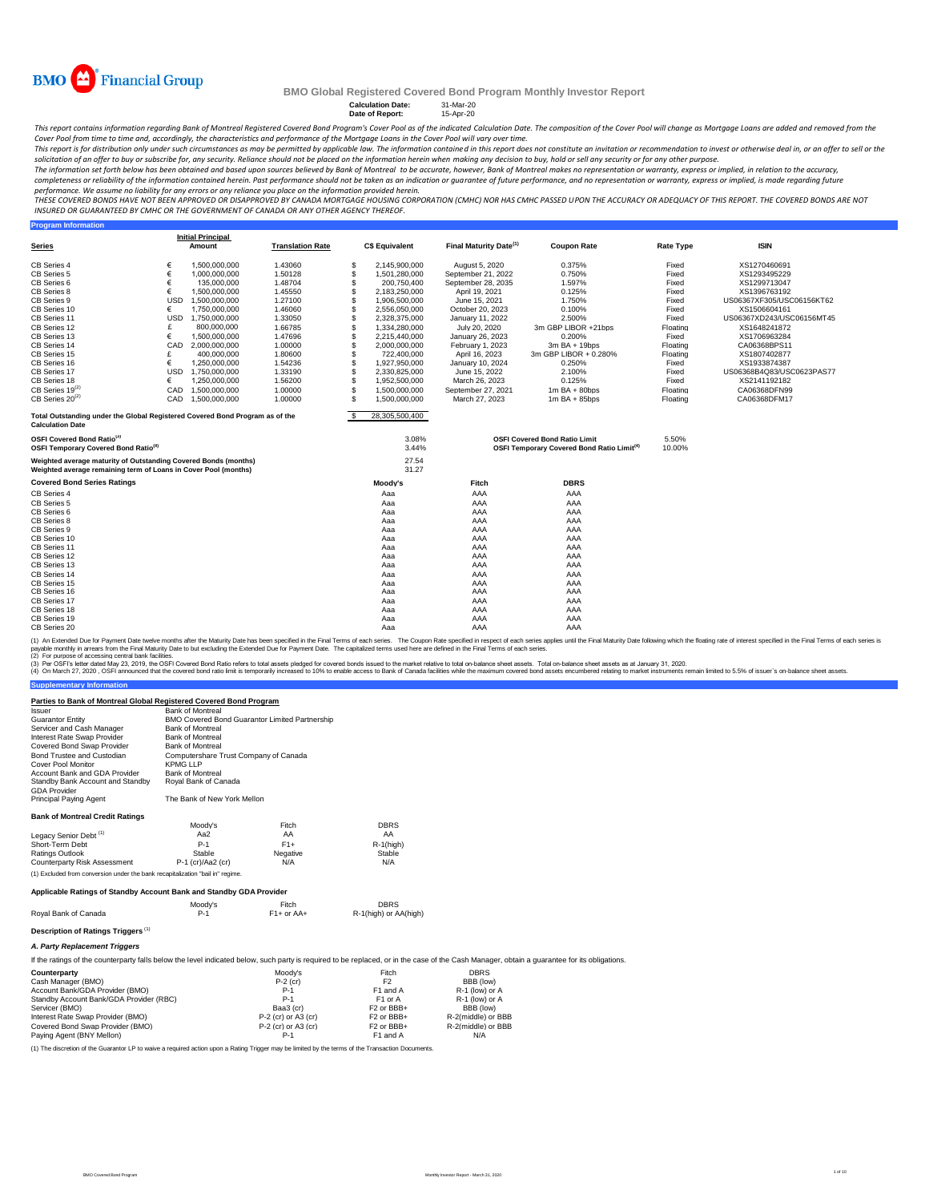

**Program Information**

### **BMO Global Registered Covered Bond Program Monthly Investor Report**

## **Calculation Date:** 31-Mar-20 **Date of Report:** 15-Apr-20

This report contains information regarding Bank of Montreal Registered Covered Bond Program's Cover Pool as of the indicated Calculation Date. The composition of the Cover Pool will change as Mortgage Loans are added and r

Cover Pool from time to time and, accordingly, the characteristics and performance of the Mortgage Loans in the Cover Pool will vary over time.<br>This report is for distribution only under such creamstances as may be permitt

solicitation of an offer to buy or subscribe for, any security. Reliance should not be placed on the information herein when making any decision to buy, hold or sell any security or for any other purpose.<br>The information s completeness or reliability of the information contained herein. Past performance should not be taken as an indication or guarantee of future performance, and no representation or warranty, express or implied, is made rega

performance. We assume no liability for any errors or any reliance you place on the information provided herein.<br>THESE COVERED BONDS HAVE NOT BEEN APPROVED BY DANGED BY CANADA MORTGAGE HOUSING CORPORATION (CMHC) NOR HAS CM *INSURED OR GUARANTEED BY CMHC OR THE GOVERNMENT OF CANADA OR ANY OTHER AGENCY THEREOF.*

|                                                                                                                                    |            | <b>Initial Principal</b> |                         |    |                       |                                    |                                                                                                |                  |                           |
|------------------------------------------------------------------------------------------------------------------------------------|------------|--------------------------|-------------------------|----|-----------------------|------------------------------------|------------------------------------------------------------------------------------------------|------------------|---------------------------|
| Series                                                                                                                             |            | Amount                   | <b>Translation Rate</b> |    | <b>C\$ Equivalent</b> | Final Maturity Date <sup>(1)</sup> | <b>Coupon Rate</b>                                                                             | <b>Rate Type</b> | <b>ISIN</b>               |
| CB Series 4                                                                                                                        |            | 1,500,000,000            | 1.43060                 | S  | 2,145,900,000         | August 5, 2020                     | 0.375%                                                                                         | Fixed            | XS1270460691              |
| CB Series 5                                                                                                                        | €          | 1,000,000,000            | 1.50128                 | \$ | 1,501,280,000         | September 21, 2022                 | 0.750%                                                                                         | Fixed            | XS1293495229              |
| CB Series 6                                                                                                                        | €          | 135,000,000              | 1.48704                 |    | 200,750,400           | September 28, 2035                 | 1.597%                                                                                         | Fixed            | XS1299713047              |
| CB Series 8                                                                                                                        | €          | 1,500,000,000            | 1.45550                 |    | 2,183,250,000         | April 19, 2021                     | 0.125%                                                                                         | Fixed            | XS1396763192              |
| CB Series 9                                                                                                                        | <b>USD</b> | 1,500,000,000            | 1.27100                 |    | 1,906,500,000         | June 15, 2021                      | 1.750%                                                                                         | Fixed            | US06367XF305/USC06156KT62 |
| CB Series 10                                                                                                                       | €          | 1,750,000,000            | 1.46060                 |    | 2,556,050,000         | October 20, 2023                   | 0.100%                                                                                         | Fixed            | XS1506604161              |
| CB Series 11                                                                                                                       | <b>USD</b> | 1,750,000,000            | 1.33050                 |    | 2,328,375,000         | January 11, 2022                   | 2.500%                                                                                         | Fixed            | US06367XD243/USC06156MT45 |
| CB Series 12                                                                                                                       |            | 800,000,000              | 1.66785                 |    | 1,334,280,000         | July 20, 2020                      | 3m GBP LIBOR +21bps                                                                            | Floating         | XS1648241872              |
| CB Series 13                                                                                                                       |            | 1.500.000.000            | 1.47696                 |    | 2,215,440,000         | January 26, 2023                   | 0.200%                                                                                         | Fixed            | XS1706963284              |
| CB Series 14                                                                                                                       | CAD        | 2,000,000,000            | 1.00000                 |    | 2,000,000,000         | February 1, 2023                   | $3m$ BA + 19bps                                                                                | Floating         | CA06368BPS11              |
| CB Series 15                                                                                                                       |            | 400,000,000              | 1.80600                 |    | 722,400,000           | April 16, 2023                     | 3m GBP LIBOR + 0.280%                                                                          | Floating         | XS1807402877              |
| CB Series 16                                                                                                                       |            | 1.250.000.000            | 1.54236                 |    | 1.927.950.000         | January 10, 2024                   | 0.250%                                                                                         | Fixed            | XS1933874387              |
| CB Series 17                                                                                                                       | <b>USD</b> | 1.750.000.000            | 1.33190                 | \$ | 2.330.825.000         | June 15, 2022                      | 2.100%                                                                                         | Fixed            | US06368B4Q83/USC0623PAS77 |
| CB Series 18                                                                                                                       | €          | 1,250,000,000            | 1.56200                 |    | 1,952,500,000         | March 26, 2023                     | 0.125%                                                                                         | Fixed            | XS2141192182              |
| $CB$ Series 19 $^{(2)}$                                                                                                            | CAD        | 1.500.000.000            | 1.00000                 |    | 1.500.000.000         | September 27, 2021                 | $1m$ BA + 80bps                                                                                | Floating         | CA06368DFN99              |
| $CB$ Series 20 <sup>(2)</sup>                                                                                                      | CAD        | 1.500.000.000            | 1.00000                 |    | 1.500.000.000         | March 27, 2023                     | $1m$ BA + 85bps                                                                                | Floating         | CA06368DFM17              |
| Total Outstanding under the Global Registered Covered Bond Program as of the<br><b>Calculation Date</b>                            |            |                          |                         |    | 28,305,500,400        |                                    |                                                                                                |                  |                           |
| OSFI Covered Bond Ratio <sup>(3)</sup><br>OSFI Temporary Covered Bond Ratio <sup>(4)</sup>                                         |            |                          |                         |    | 3.08%<br>3.44%        |                                    | <b>OSFI Covered Bond Ratio Limit</b><br>OSFI Temporary Covered Bond Ratio Limit <sup>(4)</sup> | 5.50%<br>10.00%  |                           |
| Weighted average maturity of Outstanding Covered Bonds (months)<br>Weighted average remaining term of Loans in Cover Pool (months) |            |                          |                         |    | 27.54<br>31.27        |                                    |                                                                                                |                  |                           |
| <b>Covered Bond Series Ratings</b>                                                                                                 |            |                          |                         |    | Moody's               | Fitch                              | <b>DBRS</b>                                                                                    |                  |                           |
| CB Series 4                                                                                                                        |            |                          |                         |    | Aaa                   | AAA                                | AAA                                                                                            |                  |                           |
| CB Series 5                                                                                                                        |            |                          |                         |    | Aaa                   | AAA                                | AAA                                                                                            |                  |                           |
| CB Series 6                                                                                                                        |            |                          |                         |    | Aaa                   | AAA                                | AAA                                                                                            |                  |                           |
| CB Series 8                                                                                                                        |            |                          |                         |    | Aaa                   | AAA                                | AAA                                                                                            |                  |                           |
| CB Series 9                                                                                                                        |            |                          |                         |    | Aaa                   | AAA                                | AAA                                                                                            |                  |                           |
| CB Series 10                                                                                                                       |            |                          |                         |    | Aaa                   | AAA                                | AAA                                                                                            |                  |                           |
| CB Series 11                                                                                                                       |            |                          |                         |    | Aaa                   | AAA                                | AAA                                                                                            |                  |                           |
| CB Series 12                                                                                                                       |            |                          |                         |    | Aaa                   | AAA                                | AAA                                                                                            |                  |                           |
| CB Series 13                                                                                                                       |            |                          |                         |    | Aaa                   | AAA                                | AAA                                                                                            |                  |                           |
| CB Series 14                                                                                                                       |            |                          |                         |    | Aaa                   | AAA                                | AAA                                                                                            |                  |                           |
| CB Series 15                                                                                                                       |            |                          |                         |    | Aaa                   | AAA                                | AAA                                                                                            |                  |                           |
| CB Series 16<br>CB Series 17                                                                                                       |            |                          |                         |    | Aaa                   | AAA<br>AAA                         | AAA<br>AAA                                                                                     |                  |                           |
| CB Series 18                                                                                                                       |            |                          |                         |    | Aaa                   |                                    | AAA                                                                                            |                  |                           |
|                                                                                                                                    |            |                          |                         |    | Aaa                   | AAA                                | AAA                                                                                            |                  |                           |
| CB Series 19<br>CB Series 20                                                                                                       |            |                          |                         |    | Aaa                   | AAA<br>AAA                         | AAA                                                                                            |                  |                           |
|                                                                                                                                    |            |                          |                         |    | Aaa                   |                                    |                                                                                                |                  |                           |

(2) For purpose of accessing central bank facilities. (1) An Extended Due for Payment Date twelve months after the Maturity Date has been specified in the Final of each series in the Coupon Rate specified in the Final Toms of each series is. The Capitalized terms used ferres

(3) Per OSFIs etter dated May 23, 2019, the OSFI Covered bond ratio refers to total assets pledged for covered bond issued to the market relative to tala masket assets. Total on-balance sheet assets and applays at January

 $R-1$ (high)

**Supplementary Information**

#### Cover Pool Monitor KPMG LLP Account Bank and GDA Provider Bank of Montreal Standby Bank Account and Standby Royal Bank of Canada GDA Provider<br>Principal Paying Agent The Bank of New York Mellon **Bank of Montreal Credit Ratings** Moody's Fitch DBRS<br>Aa2 AA AA AA 100 tody's Fitch<br>
Aa2 AA<br>
P-1 F1+ Legacy Senior Debt<sup>(1)</sup> Short-Term Debt

Bond Trustee and Custodian Computershare Trust Company of Canada

**Parties to Bank of Montreal Global Registered Covered Bond Program**

Guarantor Entity Servicer and Cash Manager Bank of Montreal Interest Rate Swap Provider Bank of Montreal Covered Bond Swap Provider Bank of Montreal

Issuer Bank of Montreal BMO Covered Bond Guarantor Limited Partnership

| Ratings Outlook                                                                | Stable              | Negative | .<br>Stable |
|--------------------------------------------------------------------------------|---------------------|----------|-------------|
| Counterparty Risk Assessment                                                   | $P-1$ (cr)/Aa2 (cr) | N/A      | N/A         |
| (1) Excluded from conversion under the bank recapitalization "bail in" regime. |                     |          |             |
|                                                                                |                     |          |             |
| Applicable Ratings of Standby Account Bank and Standby GDA Provider            |                     |          |             |
|                                                                                | Moodv's             | Fitch    | <b>DBRS</b> |

| Roval Bank of Canada | P-1 | $F1+$ or AA+ |
|----------------------|-----|--------------|
|                      |     |              |

# **Description of Ratings Triggers** (1)

*A. Party Replacement Triggers*

If the ratings of the counterparty falls below the level indicated below, such party is required to be replaced, or in the case of the Cash Manager, obtain a guarantee for its obligations.

| Counterparty                            | Moodv's               | Fitch                             | <b>DBRS</b>        |
|-----------------------------------------|-----------------------|-----------------------------------|--------------------|
| Cash Manager (BMO)                      | $P-2$ (cr)            | F <sub>2</sub>                    | BBB (low)          |
| Account Bank/GDA Provider (BMO)         | $P-1$                 | F1 and A                          | R-1 (low) or A     |
| Standby Account Bank/GDA Provider (RBC) | $P-1$                 | F <sub>1</sub> or A               | R-1 (low) or A     |
| Servicer (BMO)                          | Baa3 (cr)             | F <sub>2</sub> or BB <sub>H</sub> | BBB (low)          |
| Interest Rate Swap Provider (BMO)       | $P-2$ (cr) or A3 (cr) | F <sub>2</sub> or BBB+            | R-2(middle) or BBB |
| Covered Bond Swap Provider (BMO)        | $P-2$ (cr) or A3 (cr) | F <sub>2</sub> or BBB+            | R-2(middle) or BBB |
| Paving Agent (BNY Mellon)               | $P-1$                 | F1 and A                          | N/A                |

(1) The discretion of the Guarantor LP to waive a required action upon a Rating Trigger may be limited by the terms of the Transaction Documents.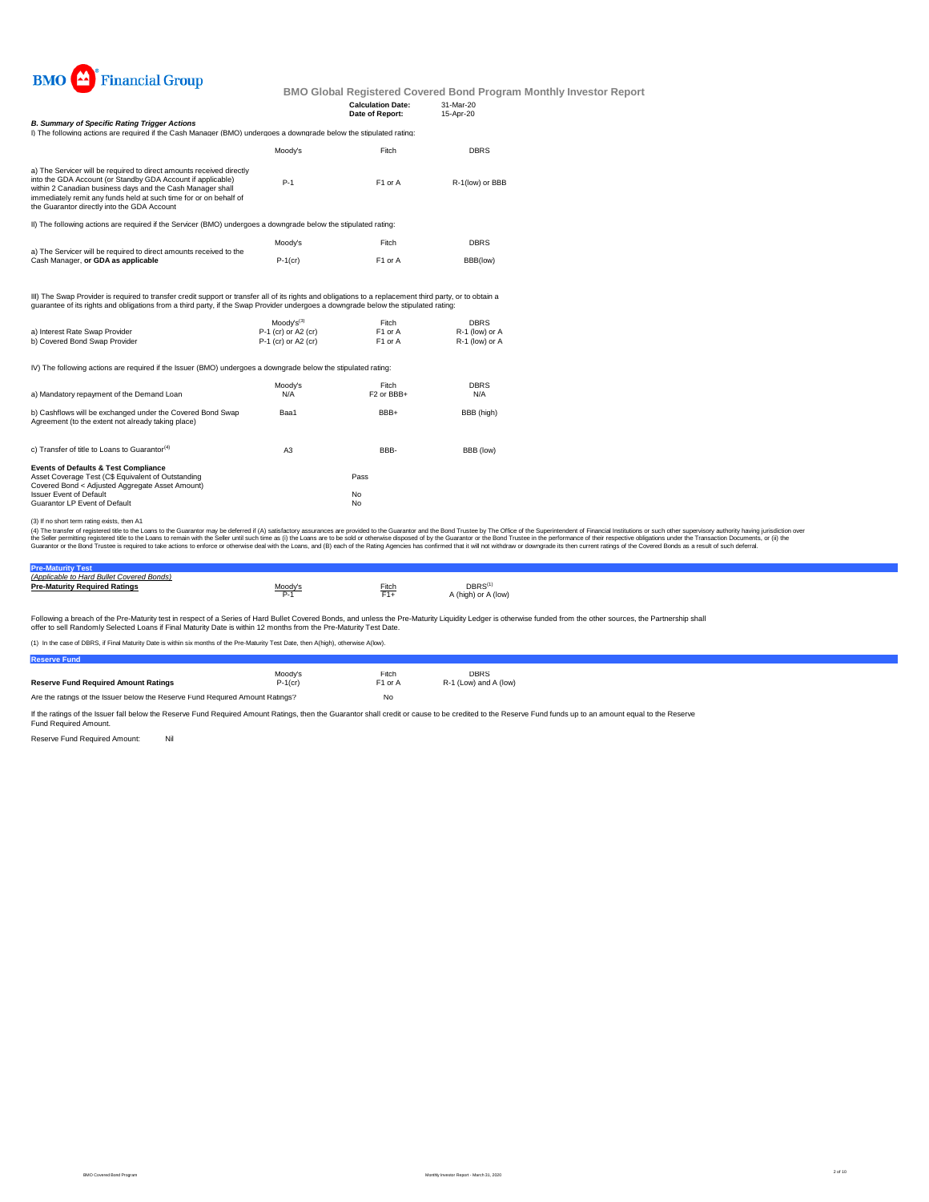

|                                                                                                                                                                                                                                                                                                                       |            | <b>Calculation Date:</b><br>Date of Report: | 31-Mar-20<br>15-Apr-20 |
|-----------------------------------------------------------------------------------------------------------------------------------------------------------------------------------------------------------------------------------------------------------------------------------------------------------------------|------------|---------------------------------------------|------------------------|
| <b>B. Summary of Specific Rating Trigger Actions</b>                                                                                                                                                                                                                                                                  |            |                                             |                        |
| I) The following actions are required if the Cash Manager (BMO) undergoes a downgrade below the stipulated rating:                                                                                                                                                                                                    |            |                                             |                        |
|                                                                                                                                                                                                                                                                                                                       | Moody's    | Fitch                                       | <b>DBRS</b>            |
| a) The Servicer will be required to direct amounts received directly<br>into the GDA Account (or Standby GDA Account if applicable)<br>within 2 Canadian business days and the Cash Manager shall<br>immediately remit any funds held at such time for or on behalf of<br>the Guarantor directly into the GDA Account | $P-1$      | F1 or A                                     | R-1(low) or BBB        |
| II) The following actions are required if the Servicer (BMO) undergoes a downgrade below the stipulated rating:                                                                                                                                                                                                       |            |                                             |                        |
|                                                                                                                                                                                                                                                                                                                       | Moodv's    | Fitch                                       | <b>DBRS</b>            |
| a) The Servicer will be required to direct amounts received to the<br>Cash Manager, or GDA as applicable                                                                                                                                                                                                              | $P-1$ (cr) | F1 or A                                     | BBB(low)               |
| III) The Swap Provider is required to transfer credit support or transfer all of its rights and obligations to a replacement third party, or to obtain a<br>quarantee of its rights and obligations from a third party, if the Swap Provider undergoes a downgrade below the stipulated rating:                       |            |                                             |                        |

|                                                                                                                  | $Modv's^{(3)}$      | Fitch                  | <b>DBRS</b>    |
|------------------------------------------------------------------------------------------------------------------|---------------------|------------------------|----------------|
| a) Interest Rate Swap Provider                                                                                   | P-1 (cr) or A2 (cr) | F <sub>1</sub> or A    | R-1 (low) or A |
| b) Covered Bond Swap Provider                                                                                    | P-1 (cr) or A2 (cr) | F <sub>1</sub> or A    | R-1 (low) or A |
| IV) The following actions are required if the Issuer (BMO) undergoes a downgrade below the stipulated rating:    |                     |                        |                |
|                                                                                                                  | Moodv's             | Fitch                  | <b>DBRS</b>    |
| a) Mandatory repayment of the Demand Loan                                                                        | N/A                 | F <sub>2</sub> or BBB+ | N/A            |
| b) Cashflows will be exchanged under the Covered Bond Swap<br>Agreement (to the extent not already taking place) | Baa1                | BBB+                   | BBB (high)     |
| c) Transfer of title to Loans to Guarantor <sup>(4)</sup>                                                        | A <sub>3</sub>      | BBB-                   | BBB (low)      |
| <b>Events of Defaults &amp; Test Compliance</b>                                                                  |                     |                        |                |
| Asset Coverage Test (C\$ Equivalent of Outstanding                                                               |                     | Pass                   |                |
| Covered Bond < Adjusted Aggregate Asset Amount)                                                                  |                     |                        |                |
| <b>Issuer Event of Default</b>                                                                                   |                     | <b>No</b>              |                |
| Guarantor LP Event of Default                                                                                    |                     | No                     |                |

(3) If no short term rating exists, then A1

(4) The transfer of registered title to the Loans to the Guarantor may be deferred if (A) satisfactory assurances are provided to the Guarantor and the Bond Trustee by The Office of the Superintendent of Financial Institut

| <b>Pre-Maturity Test</b>                  |                           |       |                                          |
|-------------------------------------------|---------------------------|-------|------------------------------------------|
| (Applicable to Hard Bullet Covered Bonds) |                           |       |                                          |
| <b>Pre-Maturity Required Ratings</b>      | $\underbrace{Mody}_{D-1}$ | Fitch | $DBRS^{\text{f}}$<br>A (high) or A (low) |

Following a breach of the Pre-Maturity test in respect of a Series of Hard Bullet Covered Bonds, and unless the Pre-Maturity Liquidity Ledger is otherwise funded from the other sources, the Partnership shall<br>offer to sell

(1) In the case of DBRS, if Final Maturity Date is within six months of the Pre-Maturity Test Date, then A(high), other

| (1) In the case of DDKO, if Final Maturity Date is within Six months of the Fre Maturity Test Date, then Amilyn), otherwise Amov). |            |         |                       |  |  |
|------------------------------------------------------------------------------------------------------------------------------------|------------|---------|-----------------------|--|--|
| <b>Reserve Fund</b>                                                                                                                |            |         |                       |  |  |
|                                                                                                                                    | Moody's    | Fitch   | <b>DBRS</b>           |  |  |
| <b>Reserve Fund Required Amount Ratings</b>                                                                                        | $P-1$ (cr) | F1 or A | R-1 (Low) and A (low) |  |  |
| Are the ratings of the Issuer below the Reserve Fund Required Amount Ratings?                                                      |            | No      |                       |  |  |

If the ratings of the Issuer fall below the Reserve Fund Required Amount Ratings, then the Guarantor shall credit or cause to be credited to the Reserve Fund funds up to an amount equal to the Reserve Fund Required Amount.

Reserve Fund Required Amount: Nil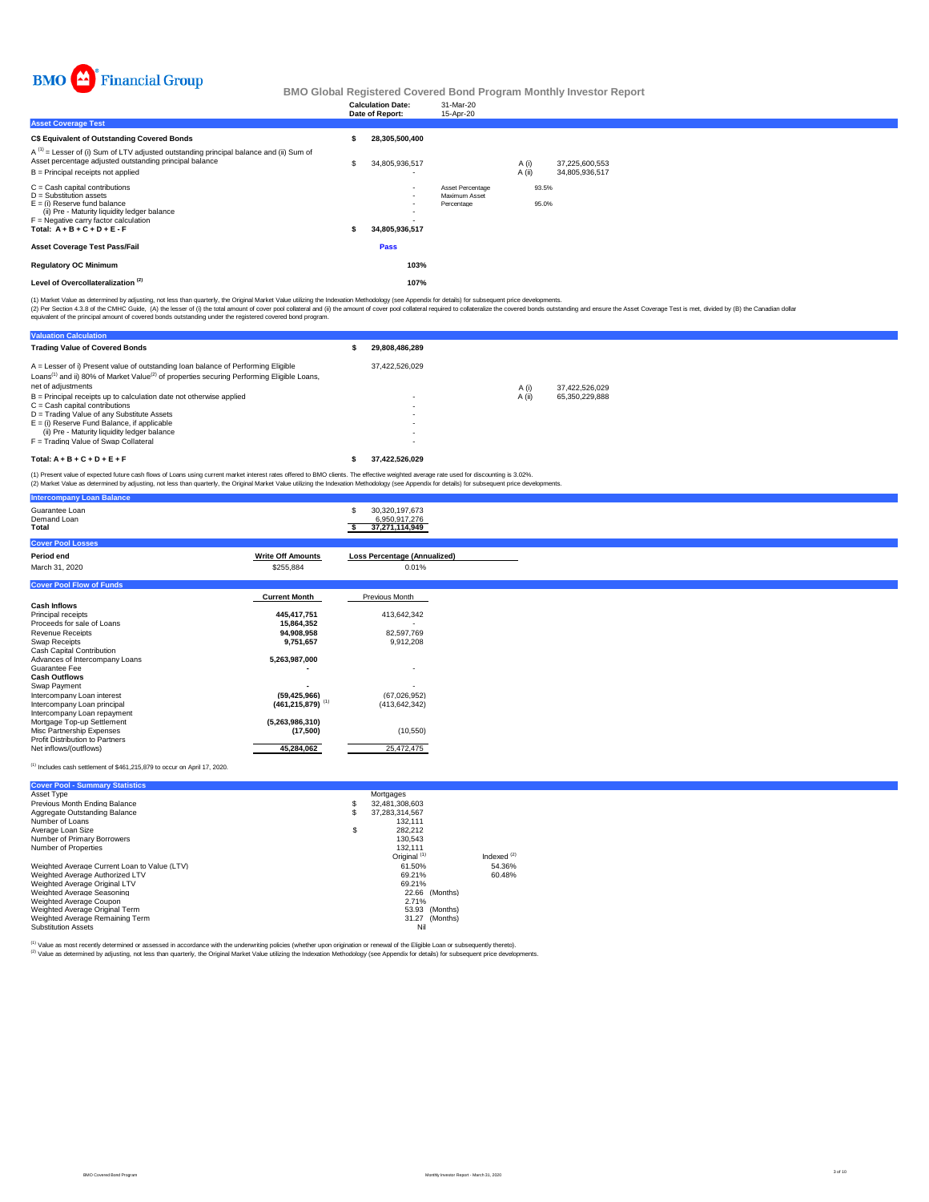

|                                                                                                                                                                                                                      |   | <b>Calculation Date:</b>                   | 31-Mar-20                                       |                 |                |                                  |  |  |  |
|----------------------------------------------------------------------------------------------------------------------------------------------------------------------------------------------------------------------|---|--------------------------------------------|-------------------------------------------------|-----------------|----------------|----------------------------------|--|--|--|
| <b>Asset Coverage Test</b>                                                                                                                                                                                           |   | Date of Report:                            | 15-Apr-20                                       |                 |                |                                  |  |  |  |
|                                                                                                                                                                                                                      |   |                                            |                                                 |                 |                |                                  |  |  |  |
| C\$ Equivalent of Outstanding Covered Bonds                                                                                                                                                                          |   | 28,305,500,400                             |                                                 |                 |                |                                  |  |  |  |
| $A^{(1)}$ = Lesser of (i) Sum of LTV adjusted outstanding principal balance and (ii) Sum of<br>Asset percentage adjusted outstanding principal balance<br>B = Principal receipts not applied                         | S | 34,805,936,517                             |                                                 | A (i)<br>A (ii) |                | 37,225,600,553<br>34.805.936.517 |  |  |  |
| C = Cash capital contributions<br>D = Substitution assets<br>E = (i) Reserve fund balance<br>(ii) Pre - Maturity liquidity ledger balance<br>F = Negative carry factor calculation<br>Total: $A + B + C + D + E - F$ |   | $\overline{\phantom{a}}$<br>34,805,936,517 | Asset Percentage<br>Maximum Asset<br>Percentage |                 | 93.5%<br>95.0% |                                  |  |  |  |
| Asset Coverage Test Pass/Fail                                                                                                                                                                                        |   | Pass                                       |                                                 |                 |                |                                  |  |  |  |
| <b>Regulatory OC Minimum</b>                                                                                                                                                                                         |   | 103%                                       |                                                 |                 |                |                                  |  |  |  |
| Level of Overcollateralization <sup>(2)</sup>                                                                                                                                                                        |   | 107%                                       |                                                 |                 |                |                                  |  |  |  |
|                                                                                                                                                                                                                      |   |                                            |                                                 |                 |                |                                  |  |  |  |

(1) Market Value as determined by adjusting, not less than quarterly, the Original Market Value utilizing the Indexation Methodology (see Appendix for details) for subsequent price developments.

(2) Per Section 4.3.8 of the CMHC Guide, (A) the lesser of (i) the tatal amount of cover prod collect and (ii) the amount of cover pool collateral required to collateralize the covered bonds coustanding and ensure the Asse

| <b>Valuation Calculation</b>                                                                                                                                                                                                 |                          |        |                |
|------------------------------------------------------------------------------------------------------------------------------------------------------------------------------------------------------------------------------|--------------------------|--------|----------------|
| <b>Trading Value of Covered Bonds</b>                                                                                                                                                                                        | 29.808.486.289           |        |                |
| A = Lesser of i) Present value of outstanding loan balance of Performing Eligible<br>Loans <sup>(1)</sup> and ii) 80% of Market Value <sup>(2)</sup> of properties securing Performing Eligible Loans.<br>net of adiustments | 37.422.526.029           | A (i)  | 37.422.526.029 |
| B = Principal receipts up to calculation date not otherwise applied<br>$C =$ Cash capital contributions                                                                                                                      | $\overline{\phantom{0}}$ | A (ii) | 65.350.229.888 |
| D = Trading Value of any Substitute Assets<br>$E =$ (i) Reserve Fund Balance, if applicable                                                                                                                                  | $\overline{\phantom{0}}$ |        |                |
| (ii) Pre - Maturity liquidity ledger balance<br>F = Trading Value of Swap Collateral                                                                                                                                         | $\overline{\phantom{0}}$ |        |                |
| Total: $A + B + C + D + E + F$                                                                                                                                                                                               | 37.422.526.029           |        |                |

(1) Present value of expected future cash flows of Loans using current market interest rates offered to BMO clients. The effective weighted average rate used for discounting is 3.02%.<br>(2) Market Value as determined by adju

| <b>Intercompany Loan Balance</b>       |                                  |                                                         |
|----------------------------------------|----------------------------------|---------------------------------------------------------|
| Guarantee Loan<br>Demand Loan<br>Total |                                  | 30,320,197,673<br>\$<br>6,950,917,276<br>37,271,114,949 |
| <b>Cover Pool Losses</b>               |                                  |                                                         |
| Period end                             | <b>Write Off Amounts</b>         | <b>Loss Percentage (Annualized)</b>                     |
| March 31, 2020                         | \$255,884                        | 0.01%                                                   |
| <b>Cover Pool Flow of Funds</b>        |                                  |                                                         |
|                                        | <b>Current Month</b>             | Previous Month                                          |
| <b>Cash Inflows</b>                    |                                  |                                                         |
| Principal receipts                     | 445,417,751                      | 413,642,342                                             |
| Proceeds for sale of Loans             | 15,864,352                       |                                                         |
| Revenue Receipts                       | 94,908,958                       | 82,597,769                                              |
| Swap Receipts                          | 9,751,657                        | 9,912,208                                               |
| Cash Capital Contribution              |                                  |                                                         |
| Advances of Intercompany Loans         | 5,263,987,000                    |                                                         |
| Guarantee Fee                          |                                  | $\overline{\phantom{0}}$                                |
| <b>Cash Outflows</b>                   |                                  |                                                         |
| Swap Payment                           |                                  |                                                         |
| Intercompany Loan interest             | (59, 425, 966)                   | (67,026,952)                                            |
| Intercompany Loan principal            | $(461, 215, 879)$ <sup>(1)</sup> | (413, 642, 342)                                         |
| Intercompany Loan repayment            |                                  |                                                         |
| Mortgage Top-up Settlement             | (5,263,986,310)                  |                                                         |
| Misc Partnership Expenses              | (17,500)                         | (10, 550)                                               |
| Profit Distribution to Partners        |                                  |                                                         |
| Net inflows/(outflows)                 | 45,284,062                       | 25,472,475                                              |

(1) Includes cash settlement of \$461,215,879 to occur on April 17, 2020.

| <b>Cover Pool - Summary Statistics</b>       |    |                         |                |                        |
|----------------------------------------------|----|-------------------------|----------------|------------------------|
| Asset Type                                   |    | Mortgages               |                |                        |
| Previous Month Ending Balance                | s  | 32.481.308.603          |                |                        |
| Aggregate Outstanding Balance                | S  | 37.283.314.567          |                |                        |
| Number of Loans                              |    | 132.111                 |                |                        |
| Average Loan Size                            | \$ | 282.212                 |                |                        |
| Number of Primary Borrowers                  |    | 130.543                 |                |                        |
| Number of Properties                         |    | 132.111                 |                |                        |
|                                              |    | Original <sup>(1)</sup> |                | Indexed <sup>(2)</sup> |
| Weighted Average Current Loan to Value (LTV) |    | 61.50%                  |                | 54.36%                 |
| Weighted Average Authorized LTV              |    | 69.21%                  |                | 60.48%                 |
| Weighted Average Original LTV                |    | 69.21%                  |                |                        |
| Weighted Average Seasoning                   |    |                         | 22.66 (Months) |                        |
| Weighted Average Coupon                      |    | 2.71%                   |                |                        |
| Weighted Average Original Term               |    |                         | 53.93 (Months) |                        |
| Weighted Average Remaining Term              |    |                         | 31.27 (Months) |                        |
| <b>Substitution Assets</b>                   |    | Nil                     |                |                        |
|                                              |    |                         |                |                        |

<sup>(1)</sup> Value as most recently determined or assessed in accordance with the underwriting policies (whether upon origination or renewal of the Eligible Loan or subsequently thereto).<br><sup>(2)</sup> Value as determined by adjusting, n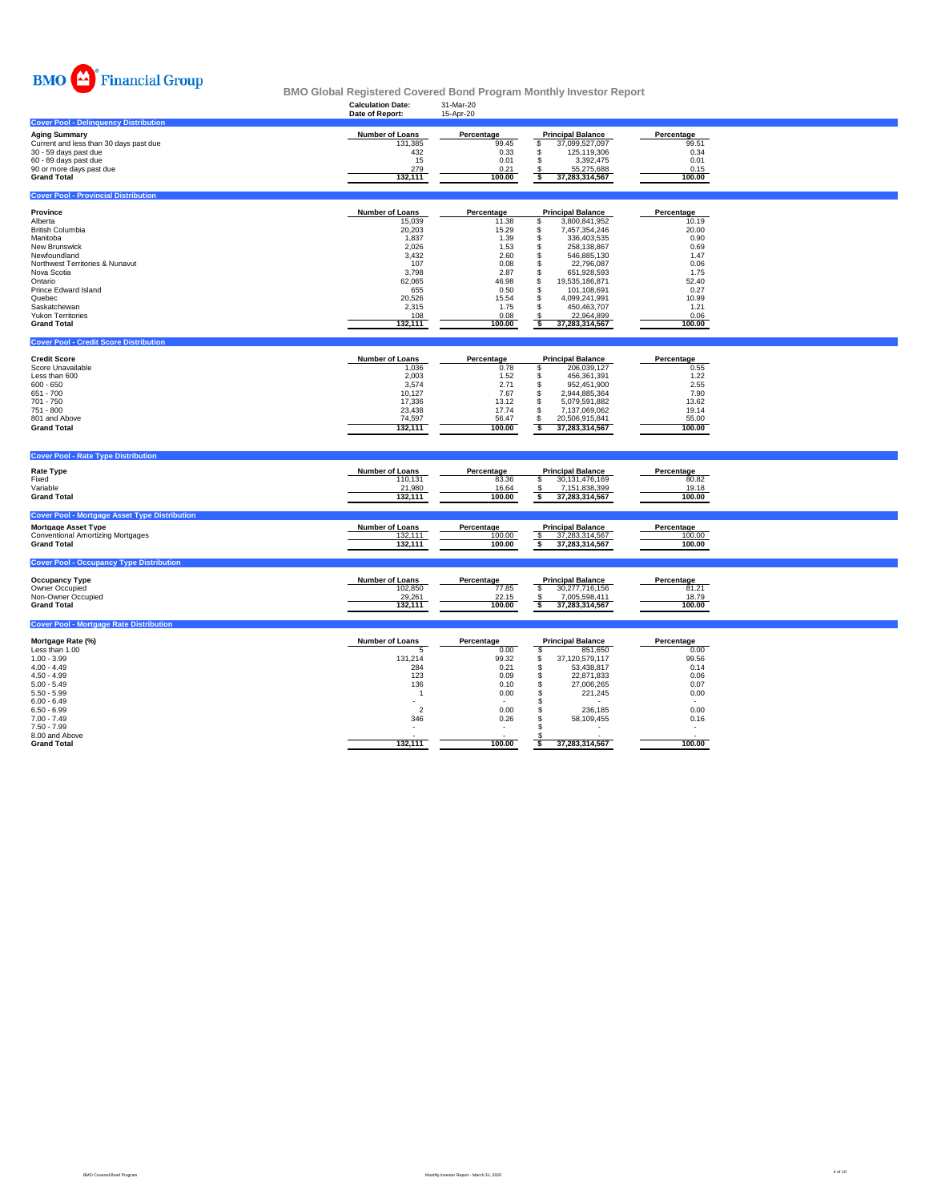

|                                                                                                                                                                                                                                                       | <b>Calculation Date:</b><br>Date of Report:                                                                                          | 31-Mar-20<br>15-Apr-20                                                                                                   |                                                                                                                                                                                                                                                                                                                     |                                                                                                                          |  |
|-------------------------------------------------------------------------------------------------------------------------------------------------------------------------------------------------------------------------------------------------------|--------------------------------------------------------------------------------------------------------------------------------------|--------------------------------------------------------------------------------------------------------------------------|---------------------------------------------------------------------------------------------------------------------------------------------------------------------------------------------------------------------------------------------------------------------------------------------------------------------|--------------------------------------------------------------------------------------------------------------------------|--|
| <b>Cover Pool - Delinquency Distribution</b>                                                                                                                                                                                                          |                                                                                                                                      |                                                                                                                          |                                                                                                                                                                                                                                                                                                                     |                                                                                                                          |  |
| <b>Aging Summary</b><br>Current and less than 30 days past due<br>30 - 59 days past due<br>60 - 89 days past due<br>90 or more days past due<br><b>Grand Total</b>                                                                                    | <b>Number of Loans</b><br>131,385<br>432<br>15<br>279<br>132,111                                                                     | Percentage<br>99.45<br>0.33<br>0.01<br>0.21<br>100.00                                                                    | <b>Principal Balance</b><br>37,099,527,097<br>\$<br>\$<br>125,119,306<br>3,392,475<br>Ŝ.<br>55,275,688<br>s<br>37,283,314,567                                                                                                                                                                                       | Percentage<br>99.51<br>0.34<br>0.01<br>0.15<br>100.00                                                                    |  |
| <b>Cover Pool - Provincial Distribution</b>                                                                                                                                                                                                           |                                                                                                                                      |                                                                                                                          |                                                                                                                                                                                                                                                                                                                     |                                                                                                                          |  |
| Province<br>Alberta<br><b>British Columbia</b><br>Manitoba<br>New Brunswick<br>Newfoundland<br>Northwest Territories & Nunavut<br>Nova Scotia<br>Ontario<br>Prince Edward Island<br>Quebec<br>Saskatchewan<br>Yukon Territories<br><b>Grand Total</b> | Number of Loans<br>15,039<br>20,203<br>1,837<br>2,026<br>3,432<br>107<br>3,798<br>62,065<br>655<br>20,526<br>2,315<br>108<br>132,111 | Percentage<br>11.38<br>15.29<br>1.39<br>1.53<br>2.60<br>0.08<br>2.87<br>46.98<br>0.50<br>15.54<br>1.75<br>0.08<br>100.00 | <b>Principal Balance</b><br>3,800,841,952<br>\$<br>7,457,354,246<br>\$<br>\$<br>336,403,535<br>258,138,867<br>\$<br>\$<br>546,885,130<br>\$<br>22,796,087<br>\$<br>651,928,593<br>\$<br>19,535,186,871<br>\$<br>101,108,691<br>\$<br>4,099,241,991<br>\$<br>450,463,707<br>22,964,899<br>-\$<br>37,283,314,567<br>s | Percentage<br>10.19<br>20.00<br>0.90<br>0.69<br>1.47<br>0.06<br>1.75<br>52.40<br>0.27<br>10.99<br>1.21<br>0.06<br>100.00 |  |
| <b>Cover Pool - Credit Score Distribution</b>                                                                                                                                                                                                         |                                                                                                                                      |                                                                                                                          |                                                                                                                                                                                                                                                                                                                     |                                                                                                                          |  |
| <b>Credit Score</b><br>Score Unavailable<br>Less than 600<br>$600 - 650$<br>$651 - 700$<br>$701 - 750$<br>$751 - 800$<br>801 and Above<br><b>Grand Total</b>                                                                                          | Number of Loans<br>1,036<br>2,003<br>3,574<br>10,127<br>17,336<br>23,438<br>74,597<br>132,111                                        | Percentage<br>0.78<br>1.52<br>2.71<br>7.67<br>13.12<br>17.74<br>56.47<br>100.00                                          | <b>Principal Balance</b><br>206,039,127<br>s<br>s<br>456,361,391<br>\$<br>952,451,900<br>\$<br>2,944,885,364<br>\$<br>5,079,591,882<br>\$<br>7,137,069,062<br>\$<br>20,506,915,841<br>ऽ<br>37,283,314,567                                                                                                           | Percentage<br>0.55<br>1.22<br>2.55<br>7.90<br>13.62<br>19.14<br>55.00<br>100.00                                          |  |
| <b>Cover Pool - Rate Type Distribution</b>                                                                                                                                                                                                            |                                                                                                                                      |                                                                                                                          |                                                                                                                                                                                                                                                                                                                     |                                                                                                                          |  |
| <b>Rate Type</b><br>Fixed<br>Variable<br><b>Grand Total</b>                                                                                                                                                                                           | Number of Loans<br>110,131<br>21,980<br>132,111                                                                                      | Percentage<br>83.36<br>16.64<br>100.00                                                                                   | <b>Principal Balance</b><br>30,131,476,169<br>s<br>7.151.838.399<br>-S<br>\$<br>37,283,314,567                                                                                                                                                                                                                      | Percentage<br>80.82<br>19.18<br>100.00                                                                                   |  |
| <b>Cover Pool - Mortgage Asset Type Distribution</b><br><b>Mortgage Asset Type</b><br><b>Conventional Amortizing Mortgages</b><br><b>Grand Total</b>                                                                                                  | Number of Loans<br>132,111<br>132,111                                                                                                | Percentage<br>100.00<br>100.00                                                                                           | <b>Principal Balance</b><br>37,283,314,567<br>37,283,314,567<br>s                                                                                                                                                                                                                                                   | Percentage<br>100.00<br>100.00                                                                                           |  |
| <b>Cover Pool - Occupancy Type Distribution</b><br>Occupancy Type<br>Owner Occupied<br>Non-Owner Occupied<br><b>Grand Total</b>                                                                                                                       | Number of Loans<br>102,850<br>29,261<br>132,111                                                                                      | Percentage<br>77.85<br>22.15<br>100.00                                                                                   | <b>Principal Balance</b><br>\$<br>30,277,716,156<br>7,005,598,411<br>37,283,314,567<br>s                                                                                                                                                                                                                            | Percentage<br>81.21<br>18.79<br>100.00                                                                                   |  |
| <b>Cover Pool - Mortgage Rate Distribution</b>                                                                                                                                                                                                        |                                                                                                                                      |                                                                                                                          |                                                                                                                                                                                                                                                                                                                     |                                                                                                                          |  |
| Mortgage Rate (%)<br>Less than 1.00<br>$1.00 - 3.99$<br>$4.00 - 4.49$<br>$4.50 - 4.99$<br>$5.00 - 5.49$<br>$5.50 - 5.99$<br>$6.00 - 6.49$<br>$6.50 - 6.99$<br>$7.00 - 7.49$<br>$7.50 - 7.99$<br>8.00 and Above<br><b>Grand Total</b>                  | <b>Number of Loans</b><br>5<br>131,214<br>284<br>123<br>136<br>$\overline{1}$<br>$\overline{2}$<br>346<br>132,111                    | Percentage<br>0.00<br>99.32<br>0.21<br>0.09<br>0.10<br>0.00<br>0.00<br>0.26<br>100.00                                    | <b>Principal Balance</b><br>\$<br>851,650<br>\$<br>37,120,579,117<br>\$<br>53,438,817<br>\$<br>22,871,833<br>\$<br>27,006,265<br>S<br>221,245<br>S<br>S<br>236,185<br>\$<br>58,109,455<br>\$<br>37,283,314,567<br>s                                                                                                 | Percentage<br>0.00<br>99.56<br>0.14<br>0.06<br>0.07<br>0.00<br>0.00<br>0.16<br>$\sim$<br>100.00                          |  |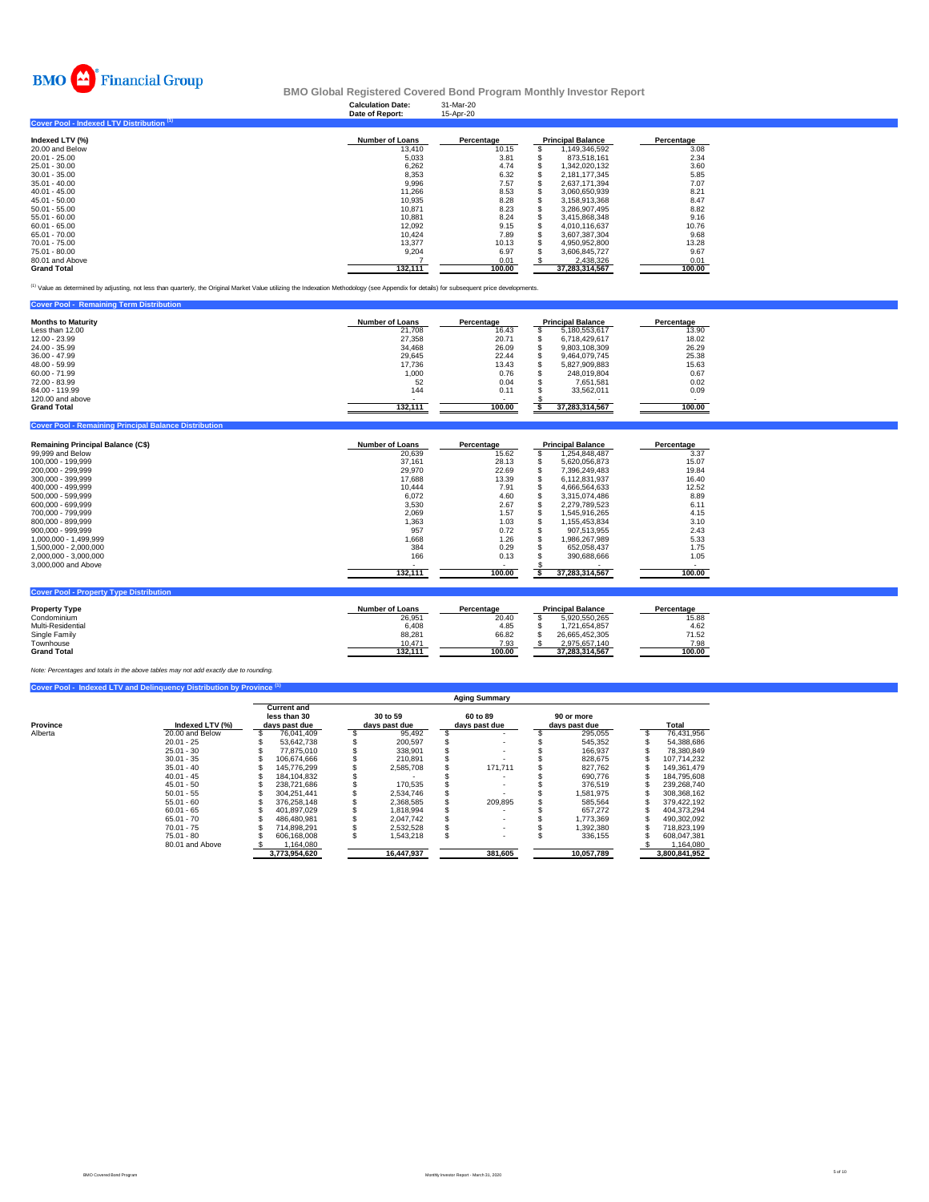

### **Calculation Date:** 31-Mar-20 **BMO Global Registered Covered Bond Program Monthly Investor Report**

|                                           | Date of Report:        | 15-Apr-20  |                          |            |
|-------------------------------------------|------------------------|------------|--------------------------|------------|
| Cover Pool - Indexed LTV Distribution (1) |                        |            |                          |            |
| Indexed LTV (%)                           | <b>Number of Loans</b> | Percentage | <b>Principal Balance</b> | Percentage |
| 20.00 and Below                           | 13.410                 | 10.15      | 1.149.346.592            | 3.08       |
| $20.01 - 25.00$                           | 5.033                  | 3.81       | 873.518.161              | 2.34       |
| 25.01 - 30.00                             | 6.262                  | 4.74       | 1.342.020.132            | 3.60       |
| $30.01 - 35.00$                           | 8.353                  | 6.32       | 2.181.177.345            | 5.85       |
| $35.01 - 40.00$                           | 9.996                  | 7.57       | 2.637.171.394            | 7.07       |
| $40.01 - 45.00$                           | 11.266                 | 8.53       | 3.060.650.939            | 8.21       |
| $45.01 - 50.00$                           | 10.935                 | 8.28       | 3.158.913.368            | 8.47       |
| $50.01 - 55.00$                           | 10,871                 | 8.23       | 3.286.907.495            | 8.82       |
| 55.01 - 60.00                             | 10,881                 | 8.24       | 3,415,868,348            | 9.16       |
| $60.01 - 65.00$                           | 12,092                 | 9.15       | 4.010.116.637            | 10.76      |
| 65.01 - 70.00                             | 10.424                 | 7.89       | 3.607.387.304            | 9.68       |
| 70.01 - 75.00                             | 13,377                 | 10.13      | 4,950,952,800            | 13.28      |
| 75.01 - 80.00                             | 9,204                  | 6.97       | 3.606.845.727            | 9.67       |
| 80.01 and Above                           |                        | 0.01       | 2.438.326                | 0.01       |
| <b>Grand Total</b>                        | 132.111                | 100.00     | 37.283.314.567           | 100.00     |

(1) Value as determined by adjusting, not less than quarterly, the Original Market Value utilizing the Indexation Methodology (see Appendix for details) for subsequent price developments.

| <b>Principal Balance</b><br><b>Months to Maturity</b><br><b>Number of Loans</b><br>Percentage | Percentage |
|-----------------------------------------------------------------------------------------------|------------|
| Less than 12.00<br>21.708<br>5.180.553.617<br>16.43                                           | 13.90      |
| 12.00 - 23.99<br>27.358<br>20.71<br>6.718.429.617                                             | 18.02      |
| 34.468<br>26.09<br>24.00 - 35.99<br>9,803,108,309                                             | 26.29      |
| 36.00 - 47.99<br>29.645<br>22.44<br>9.464.079.745                                             | 25.38      |
| 48.00 - 59.99<br>17.736<br>13.43<br>5.827.909.883                                             | 15.63      |
| 0.76<br>$60.00 - 71.99$<br>1,000<br>248.019.804                                               | 0.67       |
| 0.04<br>72.00 - 83.99<br>52<br>7.651.581                                                      | 0.02       |
| 144<br>84.00 - 119.99<br>0.11<br>33.562.011                                                   | 0.09       |
| 120,00 and above                                                                              |            |
| 132.111<br>100.00<br><b>Grand Total</b><br>37,283,314,567                                     | 100.00     |

| 99,999 and Below<br>100,000 - 199,999<br>200.000 - 299.999<br>300.000 - 399.999<br>400.000 - 499.999<br>500.000 - 599.999<br>600.000 - 699.999<br>700.000 - 799.999<br>800.000 - 899.999<br>900.000 - 999.999 | 20.639<br>37.161<br>29,970<br>17,688<br>10.444<br>6.072<br>3.530<br>2.069<br>1.363 | 15.62<br>28.13<br>22.69<br>13.39<br>7.91<br>4.60<br>2.67<br>1.57 | 1.254.848.487<br>5.620.056.873<br>7.396.249.483<br>6.112.831.937<br>4.666.564.633<br>3.315.074.486<br>2.279.789.523<br>1.545.916.265 | 3.37<br>15.07<br>19.84<br>16.40<br>12.52<br>8.89<br>6.11<br>4.15 |
|---------------------------------------------------------------------------------------------------------------------------------------------------------------------------------------------------------------|------------------------------------------------------------------------------------|------------------------------------------------------------------|--------------------------------------------------------------------------------------------------------------------------------------|------------------------------------------------------------------|
|                                                                                                                                                                                                               |                                                                                    |                                                                  |                                                                                                                                      |                                                                  |
|                                                                                                                                                                                                               |                                                                                    |                                                                  |                                                                                                                                      |                                                                  |
|                                                                                                                                                                                                               |                                                                                    |                                                                  |                                                                                                                                      |                                                                  |
|                                                                                                                                                                                                               |                                                                                    |                                                                  |                                                                                                                                      |                                                                  |
|                                                                                                                                                                                                               |                                                                                    |                                                                  |                                                                                                                                      |                                                                  |
|                                                                                                                                                                                                               |                                                                                    |                                                                  |                                                                                                                                      |                                                                  |
|                                                                                                                                                                                                               |                                                                                    |                                                                  |                                                                                                                                      |                                                                  |
|                                                                                                                                                                                                               |                                                                                    |                                                                  |                                                                                                                                      |                                                                  |
|                                                                                                                                                                                                               |                                                                                    | 1.03                                                             | 1.155.453.834                                                                                                                        | 3.10                                                             |
|                                                                                                                                                                                                               | 957                                                                                | 0.72                                                             | 907.513.955                                                                                                                          | 2.43                                                             |
| 1.000.000 - 1.499.999                                                                                                                                                                                         | 1.668                                                                              | 1.26                                                             | 1.986.267.989                                                                                                                        | 5.33                                                             |
| 1.500.000 - 2.000.000                                                                                                                                                                                         | 384                                                                                | 0.29                                                             | 652.058.437                                                                                                                          | 1.75                                                             |
| 2,000,000 - 3,000,000                                                                                                                                                                                         | 166                                                                                | 0.13                                                             | 390,688,666                                                                                                                          | 1.05                                                             |
| 3,000,000 and Above                                                                                                                                                                                           |                                                                                    |                                                                  |                                                                                                                                      |                                                                  |
|                                                                                                                                                                                                               | 132,111                                                                            | 100.00                                                           | 37.283.314.567                                                                                                                       | 100.00                                                           |
|                                                                                                                                                                                                               |                                                                                    |                                                                  |                                                                                                                                      |                                                                  |

| <b>Property Type</b> | <b>Number of Loans</b> | Percentage | <b>Principal Balance</b> | Percentage |
|----------------------|------------------------|------------|--------------------------|------------|
| Condominium          | 26,951                 | 20.40      | 5.920.550.265            | 15.88      |
| Multi-Residential    | 6,408                  | 4.85       | 1.721.654.857            | 4.62       |
| Single Family        | 88.281                 | 66.82      | 26.665.452.305           | 71.52      |
| Townhouse            | 10.471                 | 7.93       | 2.975.657.140            | 7.98       |
| <b>Grand Total</b>   | 132.111                | 100.00     | 37.283.314.567           | 100.00     |
|                      |                        |            |                          |            |

*Note: Percentages and totals in the above tables may not add exactly due to rounding.*

**ng Principal Ba** 

|          |                 |                                                     |                           | <b>Aging Summary</b>      |                             |               |
|----------|-----------------|-----------------------------------------------------|---------------------------|---------------------------|-----------------------------|---------------|
| Province | Indexed LTV (%) | <b>Current and</b><br>less than 30<br>days past due | 30 to 59<br>days past due | 60 to 89<br>days past due | 90 or more<br>days past due | <b>Total</b>  |
| Alberta  | 20.00 and Below | 76.041.409                                          | 95.492                    |                           | 295.055                     | 76.431.956    |
|          | $20.01 - 25$    | 53.642.738                                          | 200.597                   |                           | 545.352                     | 54.388.686    |
|          | $25.01 - 30$    | 77.875.010                                          | 338.901                   |                           | 166.937                     | 78.380.849    |
|          | $30.01 - 35$    | 106.674.666                                         | 210.891                   |                           | 828.675                     | 107.714.232   |
|          | $35.01 - 40$    | 145,776,299                                         | 2.585.708                 | 171.711                   | 827.762                     | 149.361.479   |
|          | $40.01 - 45$    | 184,104,832                                         |                           |                           | 690.776                     | 184,795,608   |
|          | $45.01 - 50$    | 238.721.686                                         | 170.535                   |                           | 376.519                     | 239.268.740   |
|          | $50.01 - 55$    | 304.251.441                                         | 2,534,746                 |                           | 1.581.975                   | 308,368,162   |
|          | $55.01 - 60$    | 376.258.148                                         | 2,368,585                 | 209.895                   | 585.564                     | 379.422.192   |
|          | $60.01 - 65$    | 401.897.029                                         | 1.818.994                 |                           | 657.272                     | 404.373.294   |
|          | $65.01 - 70$    | 486.480.981                                         | 2.047.742                 |                           | 1.773.369                   | 490.302.092   |
|          | $70.01 - 75$    | 714.898.291                                         | 2.532.528                 |                           | 1.392.380                   | 718.823.199   |
|          | $75.01 - 80$    | 606.168.008                                         | 1.543.218                 |                           | 336.155                     | 608.047.381   |
|          | 80.01 and Above | .164.080                                            |                           |                           |                             | 1.164.080     |
|          |                 | 3.773.954.620                                       | 16.447.937                | 381,605                   | 10.057.789                  | 3.800.841.952 |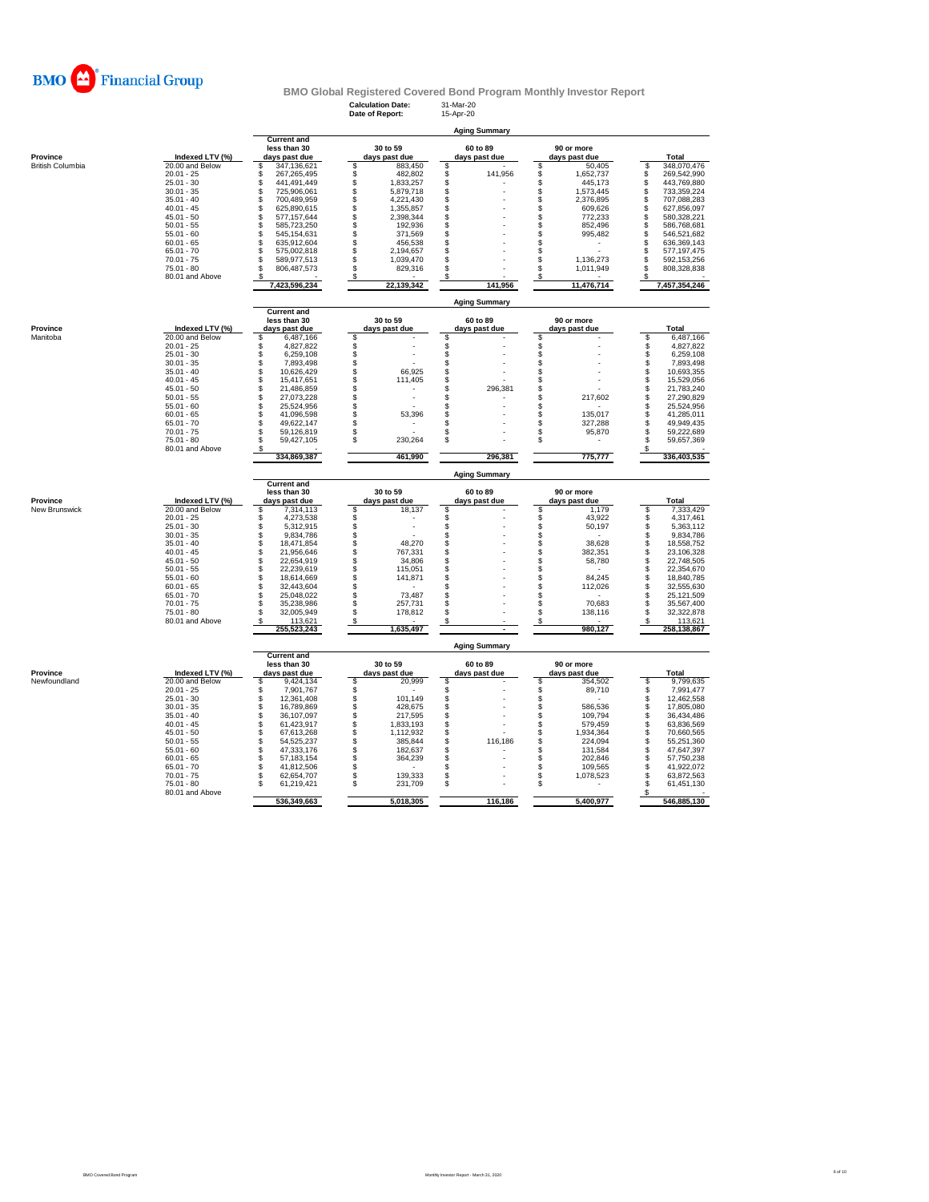

**Calculation Date:** 31-Mar-20 **Date of Report:** 15-Apr-20

|                         |                                 |                                      |                                    | <b>Aging Summary</b> |                               |                                        |
|-------------------------|---------------------------------|--------------------------------------|------------------------------------|----------------------|-------------------------------|----------------------------------------|
|                         |                                 | <b>Current and</b>                   |                                    | 60 to 89             | 90 or more                    |                                        |
| Province                | Indexed LTV (%)                 | less than 30<br>days past due        | 30 to 59<br>days past due          | days past due        | days past due                 | Total                                  |
| <b>British Columbia</b> | 20.00 and Below                 | \$<br>347,136,621                    | \$<br>883,450                      | \$                   | 50,405<br>S                   | 348,070,476<br>\$                      |
|                         | $20.01 - 25$                    | 267,265,495<br>S                     | \$<br>482,802                      | \$<br>141,956        | \$<br>1,652,737               | \$<br>269,542,990                      |
|                         | $25.01 - 30$                    | 441.491.449<br>Ś                     | \$<br>1,833,257                    | \$                   | S<br>445.173                  | \$<br>443,769,880                      |
|                         | $30.01 - 35$                    | \$<br>725,906,061                    | 5,879,718                          | \$                   | S<br>1,573,445                | 733,359,224                            |
|                         | $35.01 - 40$                    | \$<br>700,489,959                    | \$<br>4,221,430                    | \$                   | \$<br>2,376,895               | \$<br>707,088,283                      |
|                         | $40.01 - 45$<br>$45.01 - 50$    | \$<br>625,890,615<br>\$              | \$<br>1,355,857<br>\$<br>2,398,344 | \$<br>\$             | S<br>609,626<br>\$<br>772,233 | \$<br>627,856,097<br>\$<br>580,328,221 |
|                         | $50.01 - 55$                    | 577, 157, 644<br>\$<br>585,723,250   | \$<br>192,936                      | \$                   | 852,496<br>\$                 | Š.<br>586,768,681                      |
|                         | $55.01 - 60$                    | \$<br>545,154,631                    | \$<br>371,569                      | \$                   | \$<br>995,482                 | \$<br>546,521,682                      |
|                         | $60.01 - 65$                    | \$<br>635,912,604                    | 456,538                            | \$                   | S                             | \$<br>636,369,143                      |
|                         | $65.01 - 70$                    | \$<br>575,002,818                    | \$<br>2,194,657                    | \$                   | S                             | \$<br>577,197,475                      |
|                         | $70.01 - 75$                    | \$<br>589,977,513                    | Š.<br>1,039,470                    | \$                   | \$<br>1,136,273               | \$<br>592,153,256                      |
|                         | $75.01 - 80$                    | 806,487,573<br>\$                    | \$<br>829,316                      | \$                   | \$<br>1,011,949               | \$<br>808,328,838                      |
|                         | 80.01 and Above                 | s<br>7,423,596,234                   | \$<br>22,139,342                   | \$<br>141,956        | \$<br>11,476,714              | \$<br>7,457,354,246                    |
|                         |                                 |                                      |                                    |                      |                               |                                        |
|                         |                                 |                                      |                                    | <b>Aging Summary</b> |                               |                                        |
|                         |                                 | <b>Current and</b><br>less than 30   | 30 to 59                           | 60 to 89             | 90 or more                    |                                        |
| Province                | Indexed LTV (%)                 | days past due                        | days past due                      | days past due        | days past due                 | Total                                  |
| Manitoba                | 20.00 and Below                 | 6,487,166<br>S                       | \$                                 | \$                   | S                             | 6,487,166<br>S                         |
|                         | $20.01 - 25$                    | 4,827,822<br>\$.                     |                                    | \$                   | \$                            | \$<br>4,827,822                        |
|                         | $25.01 - 30$                    | 6,259,108<br>\$                      | \$\$                               | \$                   | S                             | \$<br>6,259,108                        |
|                         | $30.01 - 35$                    | 7,893,498<br>\$                      |                                    | \$                   | \$                            | \$<br>7,893,498                        |
|                         | $35.01 - 40$                    | 10,626,429<br>\$                     | \$<br>66,925                       | \$                   | \$                            | \$<br>10,693,355                       |
|                         | $40.01 - 45$<br>$45.01 - 50$    | \$<br>15.417.651<br>\$<br>21,486,859 | \$<br>111,405                      | \$<br>\$<br>296,381  | S<br>S                        | \$<br>15,529,056<br>\$<br>21,783,240   |
|                         | $50.01 - 55$                    | \$<br>27,073,228                     | Š.                                 | \$                   | \$<br>217,602                 | \$<br>27,290,829                       |
|                         | $55.01 - 60$                    | \$<br>25,524,956                     | \$                                 | \$                   | \$                            | \$<br>25,524,956                       |
|                         | $60.01 - 65$                    | S<br>41,096,598                      | \$<br>53,396                       | \$                   | \$<br>135,017                 | \$<br>41,285,011                       |
|                         | $65.01 - 70$                    | \$<br>49,622,147                     | \$                                 | \$                   | \$<br>327,288                 | 49,949,435<br>\$                       |
|                         | $70.01 - 75$                    | 59,126,819<br>s                      | \$                                 | \$                   | \$<br>95,870                  | \$<br>59,222,689                       |
|                         | $75.01 - 80$                    | 59,427,105<br>S                      | \$<br>230,264                      | \$                   | s                             | S<br>59,657,369                        |
|                         | 80.01 and Above                 |                                      |                                    |                      |                               | \$                                     |
|                         |                                 | 334,869,387                          | 461,990                            | 296,381              | 775,777                       | 336,403,535                            |
|                         |                                 |                                      |                                    |                      |                               |                                        |
|                         |                                 |                                      |                                    | <b>Aging Summary</b> |                               |                                        |
|                         |                                 | <b>Current and</b>                   |                                    |                      |                               |                                        |
|                         |                                 | less than 30                         | 30 to 59                           | 60 to 89             | 90 or more                    |                                        |
| Province                | Indexed LTV (%)                 | days past due<br>\$.                 | days past due                      | days past due        | days past due                 | <b>Total</b><br>\$                     |
| New Brunswick           | 20.00 and Below<br>$20.01 - 25$ | 7,314,113<br>4.273.538<br>\$         | 18,137<br>\$                       | \$<br>\$             | \$<br>1,179<br>43.922         | 7,333,429<br>4,317,461                 |
|                         | $25.01 - 30$                    | \$<br>5,312,915                      |                                    | \$                   | \$<br>S<br>50,197             | \$<br>\$<br>5,363,112                  |
|                         | $30.01 - 35$                    | \$<br>9,834,786                      |                                    | \$                   | \$                            | 9,834,786<br>\$                        |
|                         | $35.01 - 40$                    | \$<br>18,471,854                     | \$\$\$\$<br>48,270                 | \$                   | S<br>38,628                   | \$<br>18,558,752                       |
|                         | $40.01 - 45$                    | S<br>21,956,646                      | 767,331                            | \$                   | \$<br>382,351                 | \$<br>23,106,328                       |
|                         | $45.01 - 50$                    | 22,654,919<br>\$                     | \$<br>34,806                       | \$                   | \$<br>58,780                  | \$<br>22,748,505                       |
|                         | $50.01 - 55$                    | 22,239,619<br>\$                     | \$<br>115,051                      | \$                   | \$                            | \$<br>22,354,670                       |
|                         | $55.01 - 60$                    | S<br>18,614,669                      | 141,871                            | \$                   | 84.245<br>\$                  | \$<br>18,840,785                       |
|                         | $60.01 - 65$                    | S<br>32,443,604<br>S                 | \$                                 | \$                   | \$<br>112,026                 | Ŝ<br>32,555,630                        |
|                         | $65.01 - 70$                    | 25,048,022<br>S                      | \$<br>73,487                       | \$                   | \$                            | \$<br>25,121,509                       |
|                         | $70.01 - 75$<br>$75.01 - 80$    | 35,238,986<br>32,005,949             | Ś.<br>257,731<br>\$<br>178,812     | \$<br>\$             | S<br>70,683<br>\$<br>138,116  | \$<br>35,567,400<br>\$<br>32,322,878   |
|                         | 80.01 and Above                 | 113,621                              | S                                  | S                    | s                             | 113,621                                |
|                         |                                 | 255,523,243                          | 1,635,497                          |                      | 980,127                       | 258,138,867                            |
|                         |                                 |                                      |                                    | <b>Aging Summary</b> |                               |                                        |
|                         |                                 | <b>Current and</b>                   |                                    |                      |                               |                                        |
|                         |                                 | less than 30                         | 30 to 59                           | 60 to 89             | 90 or more                    |                                        |
| Province                | Indexed LTV (%)                 | days past due                        | days past due                      | days past due        | days past due                 | <b>Total</b>                           |
| Newfoundland            | 20.00 and Below                 | 9,424,134<br>S<br>S                  | \$<br>20,999                       | \$                   | \$<br>354,502                 | \$<br>9,799,635                        |
|                         | $20.01 - 25$<br>$25.01 - 30$    | 7,901,767<br>12,361,408<br>s         | 101,149                            | \$                   | \$<br>89,710<br>\$            | 7,991,477<br>\$<br>\$<br>12,462,558    |
|                         | $30.01 - 35$                    | 16,789,869<br>s                      | \$<br>\$<br>428,675                | Š.<br>\$             | \$<br>586,536                 | \$<br>17,805,080                       |
|                         | $35.01 - 40$                    | S<br>36,107,097                      | \$<br>217,595                      | \$                   | 109.794<br>\$                 | \$<br>36,434,486                       |
|                         | $40.01 - 45$                    | S<br>61,423,917                      | \$<br>1,833,193                    | \$                   | \$<br>579,459                 | \$<br>63,836,569                       |
|                         | $45.01 - 50$                    | S<br>67,613,268                      | \$<br>1,112,932                    | \$                   | \$<br>1,934,364               | \$<br>70,660,565                       |
|                         | $50.01 - 55$                    | \$<br>54,525,237                     | \$<br>385,844                      | \$<br>116,186        | \$<br>224,094                 | \$<br>55,251,360                       |
|                         | $55.01 - 60$                    | 47,333,176<br>s                      | \$<br>182,637                      | \$                   | \$<br>131,584                 | \$<br>47,647,397                       |
|                         | $60.01 - 65$                    | s<br>57, 183, 154                    | \$<br>364,239                      | \$                   | \$<br>202,846                 | \$<br>57,750,238                       |
|                         | $65.01 - 70$                    | s<br>41,812,506                      | \$                                 | \$                   | \$<br>109,565                 | \$<br>41,922,072                       |
|                         | $70.01 - 75$<br>$75.01 - 80$    | 62,654,707<br>S<br>61,219,421<br>S   | \$<br>139,333<br>\$                | \$<br>\$             | \$<br>1,078,523<br>\$         | \$<br>63,872,563<br>S                  |
|                         | 80.01 and Above                 | 536,349,663                          | 231,709<br>5,018,305               | 116,186              | 5,400,977                     | 61,451,130<br>\$<br>546,885,130        |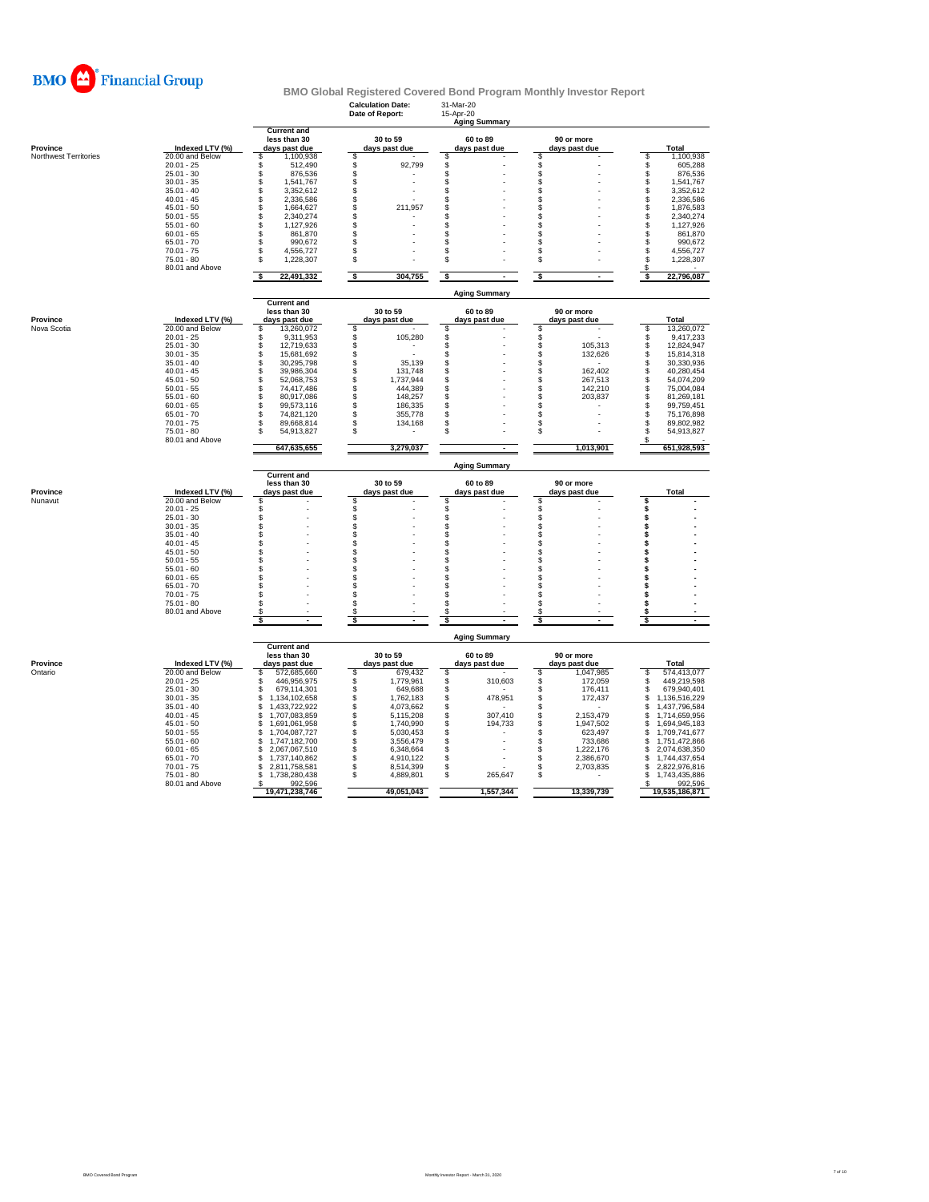

|                       |                              |                                                     | <b>Calculation Date:</b><br>Date of Report: | 31-Mar-20<br>15-Apr-20<br><b>Aging Summary</b> |                                |                                |
|-----------------------|------------------------------|-----------------------------------------------------|---------------------------------------------|------------------------------------------------|--------------------------------|--------------------------------|
| Province              | Indexed LTV (%)              | <b>Current and</b><br>less than 30<br>days past due | 30 to 59<br>days past due                   | 60 to 89<br>days past due                      | 90 or more<br>days past due    | Total                          |
| Northwest Territories | 20.00 and Below              | 1,100,938<br>\$                                     | \$                                          | S                                              | \$                             | 1,100,938<br>\$                |
|                       | $20.01 - 25$                 | \$<br>512.490                                       | \$<br>92.799                                | \$                                             | \$                             | \$<br>605,288                  |
|                       | $25.01 - 30$                 | \$<br>876,536                                       | \$                                          | \$                                             | \$                             | \$<br>876,536                  |
|                       | $30.01 - 35$                 | \$<br>1,541,767                                     | \$                                          | \$                                             | š.                             | 1,541,767                      |
|                       | $35.01 - 40$                 | \$<br>3,352,612                                     | \$                                          | \$                                             | \$                             | \$<br>3,352,612                |
|                       | $40.01 - 45$                 | \$<br>2,336,586                                     | \$                                          | \$                                             | S                              | \$<br>2,336,586                |
|                       | $45.01 - 50$                 | \$<br>1,664,627                                     | \$<br>211,957                               | \$                                             | \$                             | $\dot{\$}$<br>1,876,583        |
|                       | $50.01 - 55$                 | \$<br>2,340,274                                     | \$                                          | \$                                             | \$                             | \$<br>2,340,274                |
|                       | $55.01 - 60$                 | \$<br>1,127,926<br>\$                               | \$<br>\$                                    | \$<br>\$                                       | S                              | \$<br>1,127,926                |
|                       | $60.01 - 65$<br>$65.01 - 70$ | 861,870<br>990,672                                  | \$                                          | \$.                                            | \$<br>\$                       | 861,870<br>\$<br>990,672       |
|                       | $70.01 - 75$                 | \$<br>\$<br>4,556,727                               | \$                                          | \$                                             | S                              | \$<br>4,556,727                |
|                       | 75.01 - 80                   | \$<br>1,228,307                                     | \$                                          | \$                                             | \$                             | \$<br>1,228,307                |
|                       | 80.01 and Above              |                                                     |                                             |                                                |                                | S                              |
|                       |                              | s<br>22,491,332                                     | ऽ<br>304,755                                | s<br>$\blacksquare$                            | s<br>$\sim$                    | 22,796,087                     |
|                       |                              | <b>Current and</b>                                  |                                             | <b>Aging Summary</b>                           |                                |                                |
|                       |                              | less than 30                                        | 30 to 59                                    | 60 to 89                                       | 90 or more                     |                                |
| Province              | Indexed LTV (%)              | days past due                                       | days past due                               | days past due                                  | days past due                  | Total                          |
| Nova Scotia           | 20.00 and Below              | 13,260,072<br>s                                     | \$                                          | S.                                             | Ŝ                              | 13,260,072<br>s                |
|                       | $20.01 - 25$                 | \$<br>9,311,953                                     | 105,280<br>\$                               | \$                                             | \$                             | \$<br>9,417,233                |
|                       | $25.01 - 30$                 | \$<br>12,719,633                                    | \$                                          | \$                                             | š.<br>105,313                  | \$<br>12,824,947               |
|                       | $30.01 - 35$                 | \$<br>15,681,692                                    | \$                                          | \$                                             | \$<br>132,626                  | \$<br>15,814,318               |
|                       | $35.01 - 40$<br>$40.01 - 45$ | \$<br>30,295,798<br>\$                              | \$<br>35,139                                | \$                                             | \$                             | s<br>30,330,936                |
|                       | $45.01 - 50$                 | 39,986,304<br>\$<br>52,068,753                      | \$<br>131,748<br>\$<br>1,737,944            | \$<br>\$                                       | \$<br>162,402<br>\$<br>267,513 | \$<br>40,280,454<br>54,074,209 |
|                       | $50.01 - 55$                 | \$<br>74,417,486                                    | \$<br>444,389                               | \$                                             | S<br>142,210                   | \$<br>\$<br>75,004,084         |
|                       | $55.01 - 60$                 | \$<br>80,917,086                                    | \$<br>148,257                               | \$                                             | \$<br>203,837                  | š.<br>81,269,181               |
|                       | $60.01 - 65$                 | \$<br>99,573,116                                    | \$<br>186,335                               | \$                                             | \$                             | \$<br>99,759,451               |
|                       | $65.01 - 70$                 | \$<br>74,821,120                                    | \$.<br>355,778                              | \$                                             | \$                             | S<br>75,176,898                |
|                       | $70.01 - 75$                 | \$<br>89,668,814                                    | 134,168<br>S                                | S                                              | \$                             | S<br>89,802,982                |
|                       | $75.01 - 80$                 | S<br>54,913,827                                     | \$                                          | я                                              | \$                             | S<br>54,913,827                |
|                       | 80.01 and Above              |                                                     |                                             |                                                |                                |                                |
|                       |                              | 647,635,655                                         | 3,279,037                                   |                                                | 1,013,901                      | 651,928,593                    |
|                       |                              | <b>Current and</b>                                  |                                             | <b>Aging Summary</b>                           |                                |                                |
| Province              | Indexed LTV (%)              | less than 30<br>days past due                       | 30 to 59<br>days past due                   | 60 to 89<br>days past due                      | 90 or more<br>days past due    | Total                          |
| Nunavut               | 20.00 and Below              | \$                                                  | \$                                          | \$.                                            | \$                             | S                              |
|                       | $20.01 - 25$                 | \$                                                  | \$                                          | \$                                             | \$                             | \$                             |
|                       | $25.01 - 30$                 | \$                                                  | \$                                          | \$                                             | \$                             | \$                             |
|                       | $30.01 - 35$                 | \$                                                  | \$                                          | \$                                             | \$                             | \$                             |
|                       | $35.01 - 40$                 | \$                                                  | S                                           | \$                                             | \$                             | \$                             |
|                       | $40.01 - 45$                 | \$                                                  | \$                                          | \$                                             | \$                             | \$                             |
|                       | $45.01 - 50$                 | \$                                                  | \$                                          | \$                                             | Ŝ                              | \$                             |
|                       | $50.01 - 55$                 | \$                                                  | \$                                          | \$                                             | \$                             | \$                             |
|                       | $55.01 - 60$                 | \$                                                  | \$                                          | \$                                             | S                              | \$                             |
|                       | $60.01 - 65$                 | \$                                                  | \$                                          | \$                                             | Ŝ                              | \$                             |
|                       | $65.01 - 70$                 | \$                                                  | \$                                          | \$                                             | \$                             | \$                             |
|                       | $70.01 - 75$                 | \$                                                  | £.                                          | £.                                             | S                              | \$                             |
|                       | $75.01 - 80$                 | S                                                   | \$                                          | S                                              | s<br>s                         | S                              |
|                       | 80.01 and Above              | \$                                                  | \$                                          | \$                                             | \$                             | \$                             |
|                       |                              |                                                     |                                             | <b>Aging Summary</b>                           |                                |                                |
|                       |                              | <b>Current and</b><br>less than 30                  | 30 to 59                                    | 60 to 89                                       | 90 or more                     |                                |
| Province              | Indexed LTV (%)              | days past due                                       | days past due                               | days past due                                  | days past due                  | <b>Total</b>                   |
| Ontario               | 20.00 and Below              | 572,685,660<br>s                                    | 679,432<br>S.                               | S                                              | 1,047,985<br>\$                | 574,413,077<br>s               |
|                       | $20.01 - 25$                 | \$<br>446,956,975                                   | \$<br>1,779,961                             | \$<br>310,603                                  | \$<br>172,059                  | s<br>449,219,598               |
|                       | $25.01 - 30$                 | \$<br>679,114,301                                   | \$<br>649,688                               | \$                                             | \$<br>176,411                  | S<br>679,940,401               |
|                       | $30.01 - 35$                 | \$<br>1,134,102,658                                 | \$<br>1,762,183                             | \$<br>478,951                                  | \$<br>172,437                  | \$<br>1,136,516,229            |
|                       | $35.01 - 40$                 | \$<br>1,433,722,922                                 | \$<br>4,073,662                             | \$                                             | \$                             | \$<br>1,437,796,584            |
|                       | $40.01 - 45$                 | \$<br>1,707,083,859                                 | S<br>5,115,208                              | 307,410<br>\$                                  | \$<br>2,153,479                | 1,714,659,956<br>\$            |
|                       | $45.01 - 50$                 | \$<br>1,691,061,958                                 | \$<br>1,740,990                             | \$<br>194,733                                  | \$<br>1,947,502                | \$<br>1,694,945,183            |
|                       | $50.01 - 55$                 | \$<br>1,704,087,727                                 | \$<br>5,030,453                             | \$                                             | \$<br>623,497                  | \$<br>1,709,741,677            |
|                       | $55.01 - 60$                 | \$<br>1,747,182,700                                 | \$<br>3,556,479                             | \$                                             | S<br>733,686                   | S<br>1,751,472,866             |
|                       | $60.01 - 65$                 | \$<br>2,067,067,510                                 | S<br>6,348,664                              | \$                                             | \$<br>1,222,176                | \$<br>2,074,638,350            |
|                       | $65.01 - 70$                 | 1,737,140,862<br>\$                                 | 4,910,122<br>S                              | \$                                             | \$<br>2,386,670                | 1,744,437,654<br>\$            |
|                       | $70.01 - 75$                 | 2,811,758,581<br>\$                                 | 8,514,399<br>\$                             | \$                                             | \$<br>2,703,835                | 2,822,976,816<br>\$            |
|                       | $75.01 - 80$                 | 1,738,280,438<br>\$                                 | \$<br>4,889,801                             | \$<br>265,647                                  | \$                             | 1,743,435,886<br>\$.           |
|                       | 80.01 and Above              | 992,596<br>- \$                                     |                                             |                                                |                                | 992,596<br>S.                  |
|                       |                              | 19,471,238,746                                      | 49,051,043                                  | 1,557,344                                      | 13,339,739                     | 19,535,186,871                 |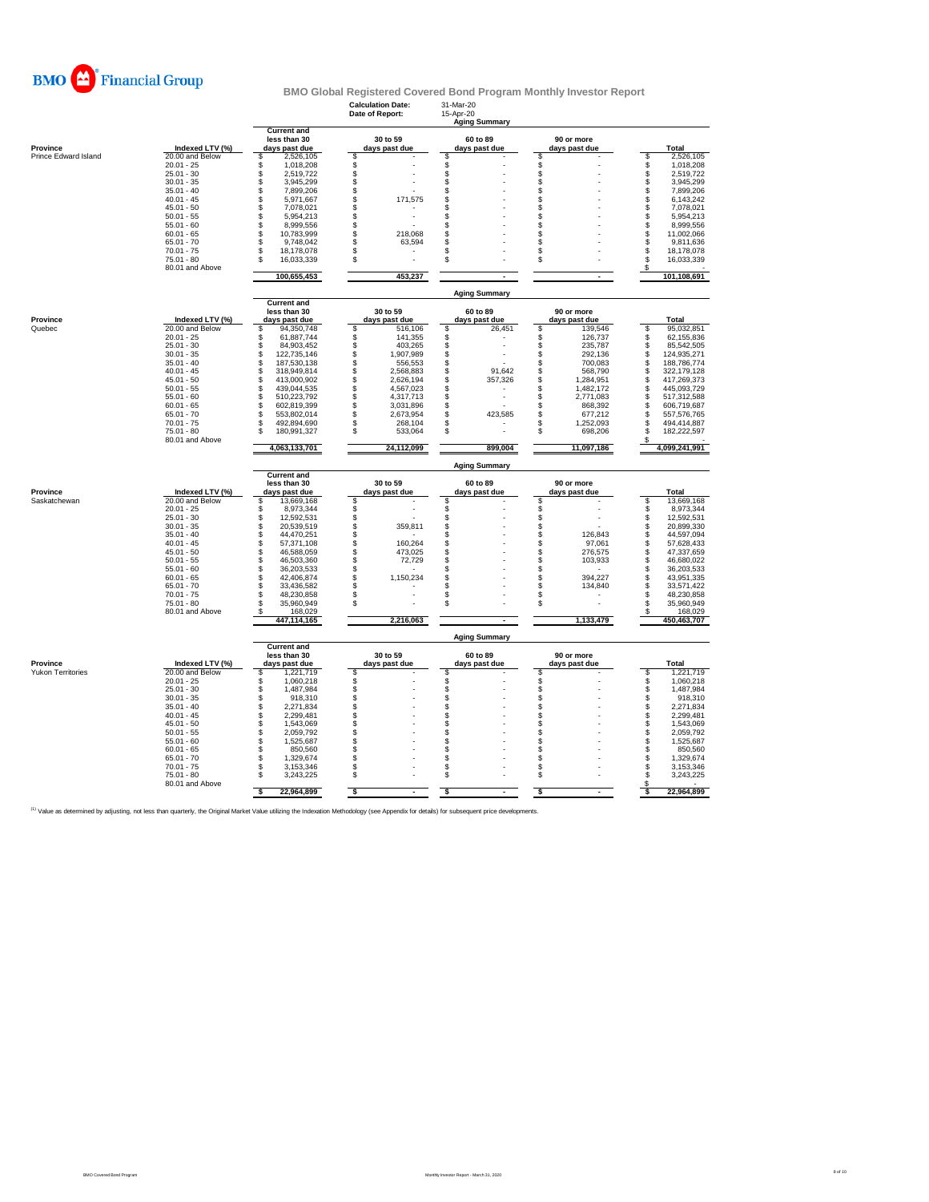

|                      |                              |                                                     | <b>Calculation Date:</b><br>Date of Report: | 31-Mar-20<br>15-Apr-20<br><b>Aging Summary</b> |                                    |                                        |
|----------------------|------------------------------|-----------------------------------------------------|---------------------------------------------|------------------------------------------------|------------------------------------|----------------------------------------|
| Province             | Indexed LTV (%)              | <b>Current and</b><br>less than 30<br>days past due | 30 to 59<br>days past due                   | 60 to 89<br>days past due                      | 90 or more<br>days past due        | Total                                  |
| Prince Edward Island | 20.00 and Below              | 2,526,105<br>\$                                     | \$                                          | \$                                             | \$                                 | \$<br>2,526,105                        |
|                      | $20.01 - 25$<br>$25.01 - 30$ | \$<br>1,018,208<br>\$<br>2,519,722                  | \$                                          | \$<br>\$                                       | \$<br>\$                           | \$<br>1,018,208<br>2,519,722           |
|                      | $30.01 - 35$                 | \$<br>3,945,299                                     | \$<br>\$                                    | \$                                             | \$                                 | \$<br>3,945,299                        |
|                      | $35.01 - 40$                 | Ś.<br>7,899,206                                     | \$                                          | \$                                             | \$                                 | \$<br>7,899,206                        |
|                      | $40.01 - 45$                 | \$<br>5,971,667                                     | \$<br>171,575                               | \$                                             | \$                                 | \$<br>6,143,242                        |
|                      | $45.01 - 50$                 | \$<br>7,078,021                                     | \$                                          | \$                                             | \$                                 | \$<br>7,078,021                        |
|                      | $50.01 - 55$                 | Ś.<br>5,954,213                                     | \$                                          | \$                                             | \$                                 | \$<br>5,954,213                        |
|                      | $55.01 - 60$                 | \$<br>8,999,556                                     | \$                                          | \$                                             | \$                                 | \$<br>8,999,556                        |
|                      | $60.01 - 65$                 | S<br>10,783,999                                     | \$<br>218,068                               | \$                                             | S                                  | 11,002,066                             |
|                      | $65.01 - 70$                 | Ś<br>9,748,042                                      | \$<br>63,594                                | \$                                             | \$                                 | \$<br>9,811,636                        |
|                      | $70.01 - 75$                 | \$<br>18,178,078                                    | \$                                          | \$                                             | \$                                 | \$<br>18,178,078                       |
|                      | $75.01 - 80$                 | \$.<br>16,033,339                                   | \$                                          | \$                                             | \$                                 | S<br>16,033,339                        |
|                      | 80.01 and Above              | 100,655,453                                         | 453,237                                     |                                                | $\overline{a}$                     | \$<br>101,108,691                      |
|                      |                              |                                                     |                                             | <b>Aging Summary</b>                           |                                    |                                        |
|                      |                              | <b>Current and</b><br>less than 30                  | 30 to 59                                    | 60 to 89                                       | 90 or more                         |                                        |
| Province             | Indexed LTV (%)              | days past due                                       | days past due                               | days past due                                  | days past due                      | Total                                  |
| Quebec               | 20.00 and Below              | 94,350,748<br>s                                     | \$<br>516,106                               | \$<br>26,451                                   | \$<br>139,546                      | \$<br>95,032,851                       |
|                      | $20.01 - 25$                 | Ś<br>61,887,744                                     | \$<br>141,355                               | \$                                             | \$<br>126,737                      | \$<br>62,155,836                       |
|                      | $25.01 - 30$                 | S<br>84,903,452                                     | \$<br>403,265                               | \$                                             | \$<br>235,787                      | \$<br>85,542,505                       |
|                      | $30.01 - 35$                 | S<br>122,735,146                                    | \$<br>1,907,989                             | \$                                             | S<br>292,136                       | \$<br>124,935,271                      |
|                      | $35.01 - 40$                 | Ś<br>187,530,138                                    | \$<br>556,553                               | \$                                             | \$<br>700,083                      | <b>\$</b><br>188,786,774               |
|                      | $40.01 - 45$                 | \$<br>318,949,814                                   | \$<br>2,568,883                             | \$<br>91,642                                   | \$<br>568,790                      | 322,179,128                            |
|                      | $45.01 - 50$                 | S<br>413,000,902                                    | \$<br>2,626,194                             | \$<br>357,326                                  | \$<br>1,284,951                    | S<br>417,269,373                       |
|                      | $50.01 - 55$<br>$55.01 - 60$ | \$<br>439,044,535<br>\$                             | \$<br>4,567,023<br>\$                       | \$                                             | \$<br>1,482,172                    | \$<br>445,093,729                      |
|                      | $60.01 - 65$                 | 510,223,792<br>S<br>602,819,399                     | 4,317,713<br>\$<br>3,031,896                | \$<br>\$                                       | \$<br>2,771,083<br>\$<br>868,392   | \$<br>517,312,588<br>\$<br>606,719,687 |
|                      | $65.01 - 70$                 | S<br>553,802,014                                    | \$<br>2,673,954                             | \$<br>423,585                                  | \$<br>677,212                      | S<br>557,576,765                       |
|                      | $70.01 - 75$                 | \$<br>492,894,690                                   | S<br>268,104                                | S                                              | \$<br>1,252,093                    | S<br>494,414,887                       |
|                      | $75.01 - 80$                 | \$.<br>180,991,327                                  | \$<br>533,064                               | \$                                             | \$<br>698,206                      | S<br>182,222,597                       |
|                      | 80.01 and Above              | 4,063,133,701                                       | 24,112,099                                  | 899,004                                        | 11,097,186                         | S<br>4,099,241,991                     |
|                      |                              |                                                     |                                             | <b>Aging Summary</b>                           |                                    |                                        |
|                      |                              | <b>Current and</b>                                  |                                             | 60 to 89                                       |                                    |                                        |
| Province             | Indexed LTV (%)              | less than 30<br>days past due                       | 30 to 59<br>days past due                   | days past due                                  | 90 or more<br><u>days past due</u> | Total                                  |
| Saskatchewan         | 20.00 and Below              | 13,669,168<br>\$                                    | \$                                          | \$                                             | \$                                 | \$<br>13,669,168                       |
|                      | $20.01 - 25$                 | Š<br>8,973,344                                      | \$                                          | \$                                             | \$                                 | $\mathbb{S}$<br>8,973,344              |
|                      | $25.01 - 30$                 | \$<br>12,592,531                                    | \$                                          | \$                                             | \$                                 | \$<br>12,592,531                       |
|                      | $30.01 - 35$                 | 20,539,519                                          | \$<br>359,811                               | \$                                             | \$                                 | \$<br>20,899,330                       |
|                      | $35.01 - 40$                 | ś<br>44,470,251                                     | \$                                          | \$                                             | \$<br>126,843                      | š.<br>44,597,094                       |
|                      | $40.01 - 45$                 | \$<br>57,371,108                                    | \$<br>160,264                               | \$                                             | \$<br>97,061                       | \$<br>57,628,433                       |
|                      | $45.01 - 50$                 | S<br>46,588,059                                     | \$<br>473.025                               | \$                                             | \$<br>276.575                      | \$<br>47,337,659                       |
|                      | $50.01 - 55$                 | s<br>46,503,360                                     | \$<br>72,729                                | \$                                             | \$<br>103,933                      | s<br>46,680,022                        |
|                      | $55.01 - 60$                 | \$<br>36,203,533                                    | \$                                          | S                                              | \$                                 | S<br>36,203,533                        |
|                      | $60.01 - 65$<br>$65.01 - 70$ | S<br>42,406,874<br>S<br>33,436,582                  | \$<br>1,150,234<br>\$                       | \$<br>\$                                       | \$<br>394,227<br>\$<br>134,840     | \$<br>43,951,335<br>s<br>33,571,422    |
|                      | $70.01 - 75$                 | \$<br>48,230,858                                    | \$                                          | \$                                             | \$                                 | \$<br>48,230,858                       |
|                      | $75.01 - 80$                 | \$<br>35,960,949                                    | \$                                          | \$                                             | \$                                 | S<br>35,960,949                        |
|                      | 80.01 and Above              | 168,029<br>£.<br>447,114,165                        | 2,216,063                                   |                                                | 1,133,479                          | 168,029<br>\$<br>450,463,707           |
|                      |                              |                                                     |                                             | <b>Aging Summary</b>                           |                                    |                                        |
|                      |                              | <b>Current and</b><br>less than 30                  | 30 to 59                                    | 60 to 89                                       | 90 or more                         |                                        |
| Province             | Indexed LTV (%)              | days past due                                       | days past due                               | days past due                                  | days past due                      | Total                                  |
| Yukon Territories    | 20.00 and Below              | 1,221,719<br>S                                      | \$                                          | \$                                             | S                                  | \$<br>1,221,719                        |
|                      | $20.01 - 25$                 | \$<br>1,060,218                                     | \$                                          | \$                                             | \$                                 | \$<br>1,060,218                        |
|                      | $25.01 - 30$                 | \$<br>1,487,984                                     | \$                                          | \$                                             | \$                                 | \$<br>1,487,984                        |
|                      | $30.01 - 35$                 | \$<br>918,310                                       | \$                                          | \$                                             | \$                                 | \$<br>918,310                          |
|                      | $35.01 - 40$                 | \$<br>2,271,834                                     | \$                                          | \$                                             | \$                                 | \$<br>2,271,834                        |
|                      | $40.01 - 45$                 | \$<br>2,299,481                                     | \$                                          | \$                                             | \$                                 | $\mathbb S$<br>2,299,481               |
|                      | $45.01 - 50$                 | \$<br>1,543,069                                     | \$                                          | \$                                             | \$                                 | \$<br>1,543,069                        |
|                      | $50.01 - 55$                 | \$<br>2,059,792                                     | \$                                          | \$                                             | \$                                 | \$<br>2,059,792                        |
|                      | $55.01 - 60$                 | \$<br>1,525,687                                     | \$                                          | \$                                             | \$                                 | \$<br>1,525,687                        |
|                      | $60.01 - 65$                 | \$<br>850,560                                       | \$                                          | \$                                             | \$                                 | \$<br>850,560                          |
|                      | $65.01 - 70$                 | \$<br>1,329,674                                     | \$                                          | \$                                             | S                                  | \$<br>1,329,674                        |
|                      | $70.01 - 75$<br>$75.01 - 80$ | \$<br>3,153,346<br>\$<br>3,243,225                  | \$<br>\$                                    | \$<br>\$                                       | \$<br>\$                           | \$<br>3,153,346<br>\$                  |
|                      | 80.01 and Above              |                                                     |                                             |                                                |                                    | 3,243,225                              |
|                      |                              | s<br>22,964,899                                     | s                                           | s                                              | $\overline{\mathbf{s}}$            | 22,964,899<br>s                        |

<sup>(1)</sup> Value as determined by adjusting, not less than quarterly, the Original Market Value utilizing the Indexation Methodology (see Appendix for details) for subsequent price developments.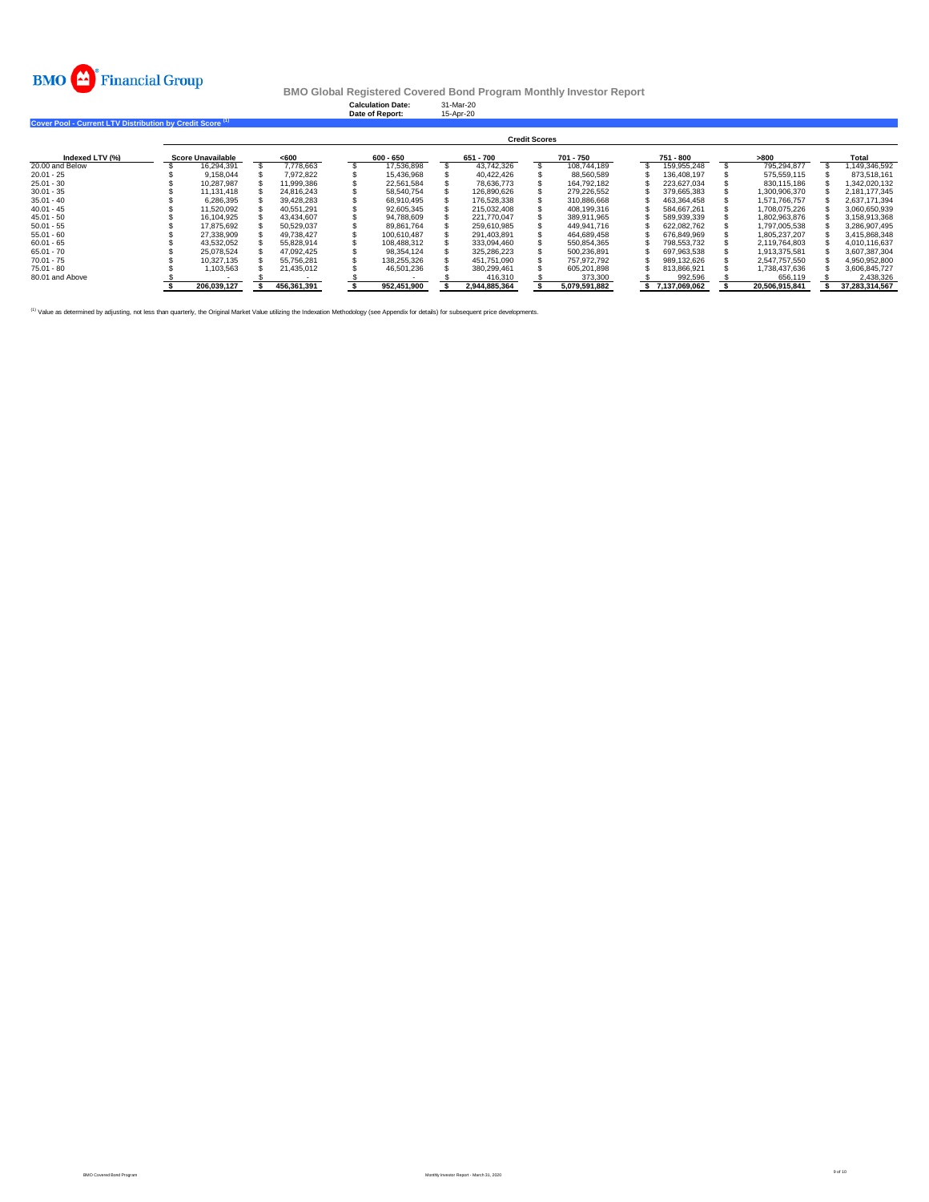

**Calculation Date:** 31-Mar-20 **Date of Report:** 15-Apr-20

| Cover Pool - Current LTV Distribution by Credit Score <sup>(1)</sup> |  |
|----------------------------------------------------------------------|--|

|                 |                          |             |             |               | <b>Credit Scores</b> |               |               |                |                |
|-----------------|--------------------------|-------------|-------------|---------------|----------------------|---------------|---------------|----------------|----------------|
| Indexed LTV (%) | <b>Score Unavailable</b> | <600        | $600 - 650$ | 651 - 700     |                      | 701 - 750     | 751 - 800     | >800           | Total          |
| 20.00 and Below | 16.294.391               | 7.778.663   | 17.536.898  | 43.742.326    |                      | 108.744.189   | 159.955.248   | 795.294.877    | 1.149.346.592  |
| $20.01 - 25$    | 9.158.044                | 7.972.822   | 15.436.968  | 40.422.426    |                      | 88.560.589    | 136.408.197   | 575.559.115    | 873.518.161    |
| $25.01 - 30$    | 10.287.987               | 11.999.386  | 22.561.584  | 78.636.773    |                      | 164.792.182   | 223.627.034   | 830.115.186    | 1.342.020.132  |
| $30.01 - 35$    | 11.131.418               | 24.816.243  | 58.540.754  | 126.890.626   |                      | 279.226.552   | 379.665.383   | 1.300.906.370  | 2.181.177.345  |
| $35.01 - 40$    | 6.286.395                | 39.428.283  | 68.910.495  | 176,528,338   |                      | 310.886.668   | 463.364.458   | 1.571.766.757  | 2.637.171.394  |
| $40.01 - 45$    | 11.520.092               | 40.551.291  | 92.605.345  | 215.032.408   |                      | 408.199.316   | 584.667.261   | 1.708.075.226  | 3.060.650.939  |
| $45.01 - 50$    | 16.104.925               | 43.434.607  | 94.788.609  | 221.770.047   |                      | 389.911.965   | 589.939.339   | 1.802.963.876  | 3.158.913.368  |
| $50.01 - 55$    | 17.875.692               | 50.529.037  | 89.861.764  | 259.610.985   |                      | 449.941.716   | 622.082.762   | 1.797.005.538  | 3.286.907.495  |
| $55.01 - 60$    | 27,338,909               | 49.738.427  | 100.610.487 | 291.403.891   |                      | 464.689.458   | 676.849.969   | 1.805.237.207  | 3.415.868.348  |
| $60.01 - 65$    | 43.532.052               | 55.828.914  | 108.488.312 | 333.094.460   |                      | 550.854.365   | 798.553.732   | 2.119.764.803  | 4.010.116.637  |
| $65.01 - 70$    | 25.078.524               | 47.092.425  | 98.354.124  | 325.286.223   |                      | 500.236.891   | 697.963.538   | 1.913.375.581  | 3.607.387.304  |
| $70.01 - 75$    | 10.327.135               | 55.756.281  | 138.255.326 | 451.751.090   |                      | 757.972.792   | 989.132.626   | 2.547.757.550  | 4.950.952.800  |
| 75.01 - 80      | 1.103.563                | 21.435.012  | 46.501.236  | 380.299.461   |                      | 605.201.898   | 813.866.921   | 1.738.437.636  | 3.606.845.727  |
| 80.01 and Above |                          |             |             | 416,310       |                      | 373,300       | 992.596       | 656.119        | 2.438.326      |
|                 | 206.039.127              | 456.361.391 | 952.451.900 | 2.944.885.364 |                      | 5.079.591.882 | 7.137.069.062 | 20.506.915.841 | 37.283.314.567 |

(1) Value as determined by adjusting, not less than quarterly, the Original Market Value utilizing the Indexation Methodology (see Appendix for details) for subsequent price developments.